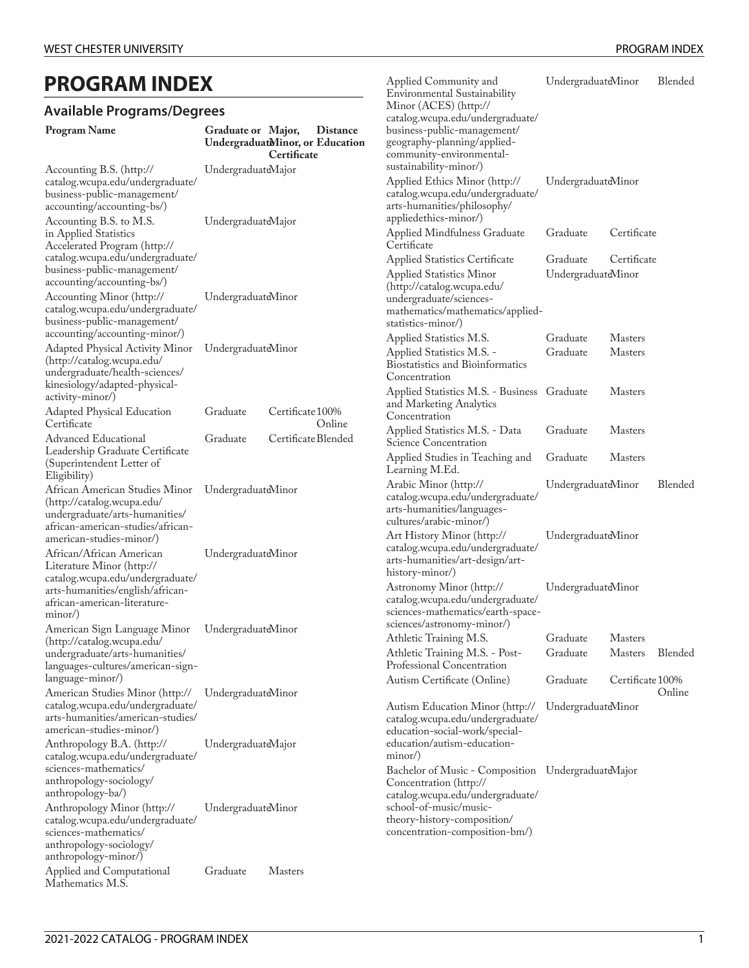# **PROGRAM INDEX**

## **Available Programs/Degrees**

| <b>PROGRAM INDEX</b>                                                                                                                                                                                                 |                                           |                                                                   | Applied Community and<br>Environmental Sustainability                                                                                                                                                       | UndergraduateMinor             |                  | Blended |  |
|----------------------------------------------------------------------------------------------------------------------------------------------------------------------------------------------------------------------|-------------------------------------------|-------------------------------------------------------------------|-------------------------------------------------------------------------------------------------------------------------------------------------------------------------------------------------------------|--------------------------------|------------------|---------|--|
| <b>Available Programs/Degrees</b>                                                                                                                                                                                    |                                           |                                                                   | Minor (ACES) (http://                                                                                                                                                                                       |                                |                  |         |  |
| <b>Program Name</b><br>Accounting B.S. (http://                                                                                                                                                                      | Graduate or Major,<br>UndergraduateMajor  | <b>Distance</b><br>UndergraduatMinor, or Education<br>Certificate | catalog.wcupa.edu/undergraduate/<br>business-public-management/<br>geography-planning/applied-<br>community-environmental-<br>sustainability-minor/)                                                        |                                |                  |         |  |
| catalog.wcupa.edu/undergraduate/<br>business-public-management/<br>accounting/accounting-bs/)                                                                                                                        |                                           |                                                                   | Applied Ethics Minor (http://<br>catalog.wcupa.edu/undergraduate/<br>arts-humanities/philosophy/<br>appliedethics-minor/)                                                                                   | UndergraduateMinor             |                  |         |  |
| Accounting B.S. to M.S.<br>in Applied Statistics<br>Accelerated Program (http://                                                                                                                                     | UndergraduateMajor                        |                                                                   | Applied Mindfulness Graduate<br>Certificate                                                                                                                                                                 | Graduate                       | Certificate      |         |  |
| catalog.wcupa.edu/undergraduate/<br>business-public-management/<br>accounting/accounting-bs/)                                                                                                                        |                                           |                                                                   | <b>Applied Statistics Certificate</b><br>Applied Statistics Minor<br>(http://catalog.wcupa.edu/                                                                                                             | Graduate<br>UndergraduateMinor | Certificate      |         |  |
| Accounting Minor (http://<br>catalog.wcupa.edu/undergraduate/<br>business-public-management/                                                                                                                         | UndergraduateMinor                        |                                                                   | undergraduate/sciences-<br>mathematics/mathematics/applied-<br>statistics-minor/)                                                                                                                           |                                |                  |         |  |
| accounting/accounting-minor/)                                                                                                                                                                                        |                                           |                                                                   | Applied Statistics M.S.                                                                                                                                                                                     | Graduate                       | <b>Masters</b>   |         |  |
| Adapted Physical Activity Minor<br>(http://catalog.wcupa.edu/<br>undergraduate/health-sciences/<br>kinesiology/adapted-physical-                                                                                     | UndergraduateMinor                        |                                                                   | Applied Statistics M.S. -<br>Biostatistics and Bioinformatics<br>Concentration                                                                                                                              | Graduate                       | <b>Masters</b>   |         |  |
| activity-minor/)<br>Adapted Physical Education                                                                                                                                                                       | Graduate                                  | Certificate 100%                                                  | Applied Statistics M.S. - Business Graduate<br>and Marketing Analytics<br>Concentration                                                                                                                     |                                | <b>Masters</b>   |         |  |
| Certificate<br><b>Advanced Educational</b>                                                                                                                                                                           | Online<br>Graduate<br>Certificate Blended |                                                                   | Applied Statistics M.S. - Data<br>Science Concentration                                                                                                                                                     | Graduate                       | <b>Masters</b>   |         |  |
| Leadership Graduate Certificate<br>(Superintendent Letter of<br>Eligibility)                                                                                                                                         |                                           |                                                                   | Applied Studies in Teaching and<br>Learning M.Ed.                                                                                                                                                           | Graduate                       | <b>Masters</b>   |         |  |
| African American Studies Minor<br>(http://catalog.wcupa.edu/<br>undergraduate/arts-humanities/<br>african-american-studies/african-                                                                                  | UndergraduateMinor                        |                                                                   | Arabic Minor (http://<br>catalog.wcupa.edu/undergraduate/<br>arts-humanities/languages-<br>cultures/arabic-minor/)                                                                                          | UndergraduateMinor             |                  | Blended |  |
| american-studies-minor/)<br>African/African American<br>Literature Minor (http://<br>catalog.wcupa.edu/undergraduate/                                                                                                | UndergraduateMinor                        |                                                                   | Art History Minor (http://<br>catalog.wcupa.edu/undergraduate/<br>arts-humanities/art-design/art-<br>history-minor/)                                                                                        | UndergraduateMinor             |                  |         |  |
| arts-humanities/english/african-<br>african-american-literature-<br>$minor$ )                                                                                                                                        |                                           |                                                                   | Astronomy Minor (http://<br>catalog.wcupa.edu/undergraduate/<br>sciences-mathematics/earth-space-<br>sciences/astronomy-minor/)                                                                             | UndergraduateMinor             |                  |         |  |
| American Sign Language Minor<br>(http://catalog.wcupa.edu/                                                                                                                                                           | UndergraduateMinor                        |                                                                   | Athletic Training M.S.                                                                                                                                                                                      | Graduate                       | <b>Masters</b>   |         |  |
| undergraduate/arts-humanities/<br>languages-cultures/american-sign-                                                                                                                                                  |                                           |                                                                   | Athletic Training M.S. - Post-<br>Professional Concentration                                                                                                                                                | Graduate                       | <b>Masters</b>   | Blended |  |
| language-minor/)                                                                                                                                                                                                     |                                           |                                                                   | Autism Certificate (Online)                                                                                                                                                                                 | Graduate                       | Certificate 100% |         |  |
| American Studies Minor (http://<br>catalog.wcupa.edu/undergraduate/<br>arts-humanities/american-studies/<br>american-studies-minor/)<br>Anthropology B.A. (http://<br>catalog.wcupa.edu/undergraduate/               | UndergraduateMinor<br>UndergraduateMajor  |                                                                   | Autism Education Minor (http://<br>catalog.wcupa.edu/undergraduate/<br>education-social-work/special-<br>education/autism-education-<br>minor                                                               | UndergraduateMinor             |                  | Online  |  |
| sciences-mathematics/<br>anthropology-sociology/<br>anthropology-ba/)<br>Anthropology Minor (http://<br>catalog.wcupa.edu/undergraduate/<br>sciences-mathematics/<br>anthropology-sociology/<br>anthropology-minor/) | UndergraduateMinor                        |                                                                   | Bachelor of Music - Composition UndergraduateMajor<br>Concentration (http://<br>catalog.wcupa.edu/undergraduate/<br>school-of-music/music-<br>theory-history-composition/<br>concentration-composition-bm/) |                                |                  |         |  |
| Applied and Computational                                                                                                                                                                                            | Graduate                                  | <b>Masters</b>                                                    |                                                                                                                                                                                                             |                                |                  |         |  |

Applied and Computational Mathematics M.S.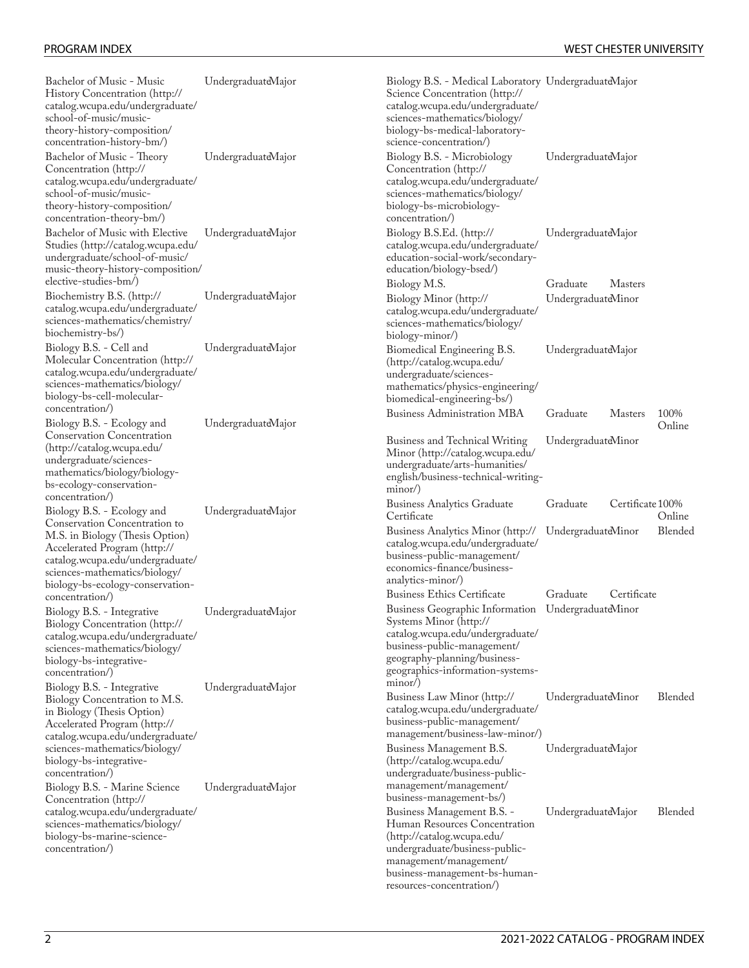| Bachelor of Music - Music<br>History Concentration (http://<br>catalog.wcupa.edu/undergraduate/<br>school-of-music/music-<br>theory-history-composition/<br>concentration-history-bm/)                               | UndergraduateMajor                       | Biology B.S. - Medical Laboratory UndergraduateMajor<br>Science Concentration (http://<br>catalog.wcupa.edu/undergraduate/<br>sciences-mathematics/biology/<br>biology-bs-medical-laboratory-<br>science-concentration/)         |                                |                  |                |
|----------------------------------------------------------------------------------------------------------------------------------------------------------------------------------------------------------------------|------------------------------------------|----------------------------------------------------------------------------------------------------------------------------------------------------------------------------------------------------------------------------------|--------------------------------|------------------|----------------|
| Bachelor of Music - Theory<br>Concentration (http://<br>catalog.wcupa.edu/undergraduate/<br>school-of-music/music-<br>theory-history-composition/<br>concentration-theory-bm/)                                       | UndergraduateMajor                       | Biology B.S. - Microbiology<br>Concentration (http://<br>catalog.wcupa.edu/undergraduate/<br>sciences-mathematics/biology/<br>biology-bs-microbiology-<br>concentration/)                                                        | UndergraduateMajor             |                  |                |
| Bachelor of Music with Elective<br>Studies (http://catalog.wcupa.edu/<br>undergraduate/school-of-music/<br>music-theory-history-composition/                                                                         | UndergraduateMajor                       | Biology B.S.Ed. (http://<br>catalog.wcupa.edu/undergraduate/<br>education-social-work/secondary-<br>education/biology-bsed/)                                                                                                     | UndergraduateMajor             |                  |                |
| elective-studies-bm/)<br>Biochemistry B.S. (http://<br>catalog.wcupa.edu/undergraduate/<br>sciences-mathematics/chemistry/<br>biochemistry-bs/)                                                                      | UndergraduateMajor                       | Biology M.S.<br>Biology Minor (http://<br>catalog.wcupa.edu/undergraduate/<br>sciences-mathematics/biology/<br>biology-minor/)                                                                                                   | Graduate<br>UndergraduateMinor | <b>Masters</b>   |                |
| Biology B.S. - Cell and<br>Molecular Concentration (http://<br>catalog.wcupa.edu/undergraduate/<br>sciences-mathematics/biology/<br>biology-bs-cell-molecular-<br>concentration/)                                    | UndergraduateMajor                       | Biomedical Engineering B.S.<br>(http://catalog.wcupa.edu/<br>undergraduate/sciences-<br>mathematics/physics-engineering/<br>biomedical-engineering-bs/)                                                                          | UndergraduateMajor             |                  |                |
| Biology B.S. - Ecology and                                                                                                                                                                                           | UndergraduateMajor                       | <b>Business Administration MBA</b>                                                                                                                                                                                               | Graduate                       | <b>Masters</b>   | 100%<br>Online |
| <b>Conservation Concentration</b><br>(http://catalog.wcupa.edu/<br>undergraduate/sciences-<br>mathematics/biology/biology-<br>bs-ecology-conservation-                                                               |                                          | <b>Business and Technical Writing</b><br>Minor (http://catalog.wcupa.edu/<br>undergraduate/arts-humanities/<br>english/business-technical-writing-<br>$minor$ )                                                                  | UndergraduateMinor             |                  |                |
| concentration/)<br>Biology B.S. - Ecology and                                                                                                                                                                        | UndergraduateMajor                       | <b>Business Analytics Graduate</b><br>Certificate                                                                                                                                                                                | Graduate                       | Certificate 100% | Online         |
| Conservation Concentration to<br>M.S. in Biology (Thesis Option)<br>Accelerated Program (http://<br>catalog.wcupa.edu/undergraduate/<br>sciences-mathematics/biology/<br>biology-bs-ecology-conservation-            |                                          | Business Analytics Minor (http://<br>catalog.wcupa.edu/undergraduate/<br>business-public-management/<br>economics-finance/business-<br>analytics-minor/)                                                                         | UndergraduateMinor             |                  | Blended        |
| concentration/)                                                                                                                                                                                                      |                                          | <b>Business Ethics Certificate</b>                                                                                                                                                                                               | Graduate                       | Certificate      |                |
| Biology B.S. - Integrative<br><b>Biology Concentration (http://</b><br>catalog.wcupa.edu/undergraduate/<br>sciences-mathematics/biology/<br>biology-bs-integrative-<br>concentration/)<br>Biology B.S. - Integrative | UndergraduateMajor<br>UndergraduateMajor | Business Geographic Information UndergraduateMinor<br>Systems Minor (http://<br>catalog.wcupa.edu/undergraduate/<br>business-public-management/<br>geography-planning/business-<br>geographics-information-systems-<br>$minor$ ) |                                |                  |                |
| Biology Concentration to M.S.<br>in Biology (Thesis Option)<br>Accelerated Program (http://<br>catalog.wcupa.edu/undergraduate/                                                                                      |                                          | Business Law Minor (http://<br>catalog.wcupa.edu/undergraduate/<br>business-public-management/<br>management/business-law-minor/)                                                                                                | UndergraduateMinor             |                  | Blended        |
| sciences-mathematics/biology/<br>biology-bs-integrative-<br>concentration/)                                                                                                                                          |                                          | Business Management B.S.<br>(http://catalog.wcupa.edu/<br>undergraduate/business-public-                                                                                                                                         | UndergraduateMajor             |                  |                |
| Biology B.S. - Marine Science<br>Concentration (http://                                                                                                                                                              | UndergraduateMajor                       | management/management/<br>business-management-bs/)                                                                                                                                                                               |                                |                  |                |
| catalog.wcupa.edu/undergraduate/<br>sciences-mathematics/biology/<br>biology-bs-marine-science-<br>concentration/)                                                                                                   |                                          | Business Management B.S. -<br>Human Resources Concentration<br>(http://catalog.wcupa.edu/<br>undergraduate/business-public-<br>management/management/<br>business-management-bs-human-<br>resources-concentration/)              | UndergraduateMajor             |                  | Blended        |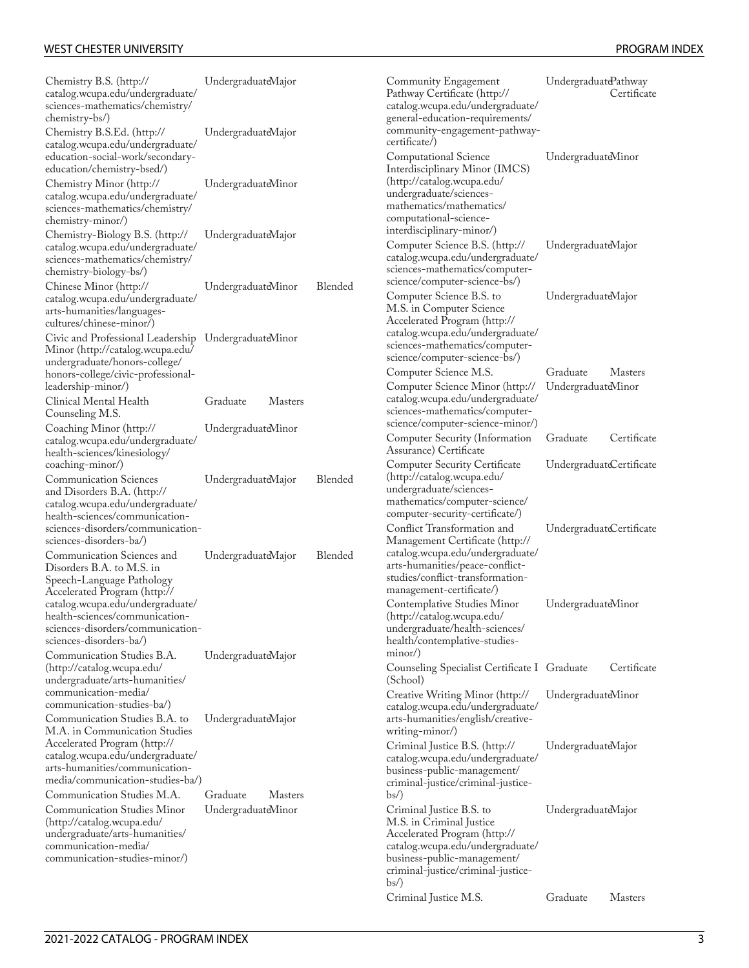| Chemistry B.S. (http://<br>catalog.wcupa.edu/undergraduate/<br>sciences-mathematics/chemistry/<br>chemistry-bs/)                                                                          | UndergraduateMajor                               |         | Community Engagement<br>Pathway Certificate (http://<br>catalog.wcupa.edu/undergraduate/<br>general-education-requirements/                                                                                       | UndergraduatePathway     | Certificate    |
|-------------------------------------------------------------------------------------------------------------------------------------------------------------------------------------------|--------------------------------------------------|---------|-------------------------------------------------------------------------------------------------------------------------------------------------------------------------------------------------------------------|--------------------------|----------------|
| Chemistry B.S.Ed. (http://<br>catalog.wcupa.edu/undergraduate/<br>education-social-work/secondary-<br>education/chemistry-bsed/)                                                          | UndergraduateMajor                               |         | community-engagement-pathway-<br>certificate/)<br>Computational Science<br>Interdisciplinary Minor (IMCS)                                                                                                         | UndergraduateMinor       |                |
| Chemistry Minor (http://<br>catalog.wcupa.edu/undergraduate/<br>sciences-mathematics/chemistry/<br>chemistry-minor/)                                                                      | UndergraduateMinor                               |         | (http://catalog.wcupa.edu/<br>undergraduate/sciences-<br>mathematics/mathematics/<br>computational-science-                                                                                                       |                          |                |
| Chemistry-Biology B.S. (http://<br>catalog.wcupa.edu/undergraduate/<br>sciences-mathematics/chemistry/<br>chemistry-biology-bs/)                                                          | UndergraduateMajor                               |         | interdisciplinary-minor/)<br>Computer Science B.S. (http://<br>catalog.wcupa.edu/undergraduate/<br>sciences-mathematics/computer-                                                                                 | UndergraduateMajor       |                |
| Chinese Minor (http://<br>catalog.wcupa.edu/undergraduate/<br>arts-humanities/languages-<br>cultures/chinese-minor/)                                                                      | UndergraduateMinor                               | Blended | science/computer-science-bs/)<br>Computer Science B.S. to<br>M.S. in Computer Science<br>Accelerated Program (http://                                                                                             | UndergraduateMajor       |                |
| Civic and Professional Leadership UndergraduateMinor<br>Minor (http://catalog.wcupa.edu/<br>undergraduate/honors-college/<br>honors-college/civic-professional-                           |                                                  |         | catalog.wcupa.edu/undergraduate/<br>sciences-mathematics/computer-<br>science/computer-science-bs/)<br>Computer Science M.S.                                                                                      | Graduate                 | <b>Masters</b> |
| leadership-minor/)<br>Clinical Mental Health<br>Counseling M.S.                                                                                                                           | Graduate<br><b>Masters</b>                       |         | Computer Science Minor (http://<br>catalog.wcupa.edu/undergraduate/<br>sciences-mathematics/computer-                                                                                                             | UndergraduateMinor       |                |
| Coaching Minor (http://<br>catalog.wcupa.edu/undergraduate/<br>health-sciences/kinesiology/                                                                                               | UndergraduateMinor                               |         | science/computer-science-minor/)<br>Computer Security (Information<br>Assurance) Certificate                                                                                                                      | Graduate                 | Certificate    |
| coaching-minor/)<br><b>Communication Sciences</b><br>and Disorders B.A. (http://<br>catalog.wcupa.edu/undergraduate/<br>health-sciences/communication-                                    | UndergraduateMajor                               | Blended | <b>Computer Security Certificate</b><br>(http://catalog.wcupa.edu/<br>undergraduate/sciences-<br>mathematics/computer-science/<br>computer-security-certificate/)                                                 | UndergraduateCertificate |                |
| sciences-disorders/communication-<br>sciences-disorders-ba/)                                                                                                                              |                                                  |         | Conflict Transformation and<br>Management Certificate (http://                                                                                                                                                    | UndergraduateCertificate |                |
| Communication Sciences and<br>Disorders B.A. to M.S. in<br>Speech-Language Pathology<br>Accelerated Program (http://                                                                      | UndergraduateMajor                               | Blended | catalog.wcupa.edu/undergraduate/<br>arts-humanities/peace-conflict-<br>studies/conflict-transformation-<br>management-certificate/)                                                                               |                          |                |
| catalog.wcupa.edu/undergraduate/<br>health-sciences/communication-<br>sciences-disorders/communication-<br>sciences-disorders-ba/)                                                        |                                                  |         | Contemplative Studies Minor<br>(http://catalog.wcupa.edu/<br>undergraduate/health-sciences/<br>health/contemplative-studies-                                                                                      | UndergraduateMinor       |                |
| Communication Studies B.A.<br>(http://catalog.wcupa.edu/<br>undergraduate/arts-humanities/                                                                                                | UndergraduateMajor                               |         | minor<br>Counseling Specialist Certificate I Graduate<br>(School)                                                                                                                                                 |                          | Certificate    |
| communication-media/<br>communication-studies-ba/)<br>Communication Studies B.A. to                                                                                                       | UndergraduateMajor                               |         | Creative Writing Minor (http://<br>catalog.wcupa.edu/undergraduate/<br>arts-humanities/english/creative-                                                                                                          | UndergraduateMinor       |                |
| M.A. in Communication Studies<br>Accelerated Program (http://<br>catalog.wcupa.edu/undergraduate/<br>arts-humanities/communication-<br>media/communication-studies-ba/)                   |                                                  |         | writing-minor/)<br>Criminal Justice B.S. (http://<br>catalog.wcupa.edu/undergraduate/<br>business-public-management/<br>criminal-justice/criminal-justice-                                                        | UndergraduateMajor       |                |
| Communication Studies M.A.<br><b>Communication Studies Minor</b><br>(http://catalog.wcupa.edu/<br>undergraduate/arts-humanities/<br>communication-media/<br>communication-studies-minor/) | Graduate<br><b>Masters</b><br>UndergraduateMinor |         | $bs$ )<br>Criminal Justice B.S. to<br>M.S. in Criminal Justice<br>Accelerated Program (http://<br>catalog.wcupa.edu/undergraduate/<br>business-public-management/<br>criminal-justice/criminal-justice-<br>$bs$ ) | UndergraduateMajor       |                |
|                                                                                                                                                                                           |                                                  |         | Criminal Justice M.S.                                                                                                                                                                                             | Graduate                 | <b>Masters</b> |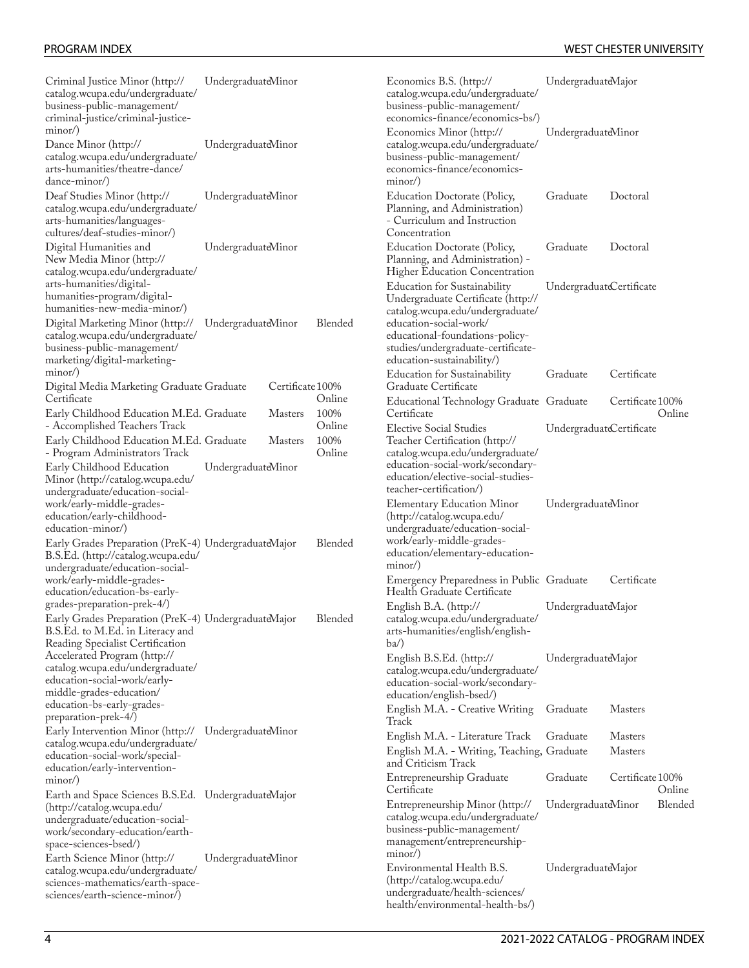| Criminal Justice Minor (http://<br>catalog.wcupa.edu/undergraduate/<br>business-public-management/<br>criminal-justice/criminal-justice-                    | UndergraduateMinor |                  |                | Economics B.S. (http://<br>catalog.wcupa.edu/undergraduate/<br>business-public-management/<br>economics-finance/economics-bs/)         | UndergraduateMajor       |                                                                                                                                       |  |  |  |
|-------------------------------------------------------------------------------------------------------------------------------------------------------------|--------------------|------------------|----------------|----------------------------------------------------------------------------------------------------------------------------------------|--------------------------|---------------------------------------------------------------------------------------------------------------------------------------|--|--|--|
| minor<br>Dance Minor (http://<br>catalog.wcupa.edu/undergraduate/<br>arts-humanities/theatre-dance/<br>dance-minor/)                                        | UndergraduateMinor |                  |                | Economics Minor (http://<br>catalog.wcupa.edu/undergraduate/<br>business-public-management/<br>economics-finance/economics-<br>minor   | UndergraduateMinor       |                                                                                                                                       |  |  |  |
| Deaf Studies Minor (http://<br>catalog.wcupa.edu/undergraduate/<br>arts-humanities/languages-<br>cultures/deaf-studies-minor/)                              | UndergraduateMinor |                  |                | <b>Education Doctorate (Policy,</b><br>Planning, and Administration)<br>- Curriculum and Instruction<br>Concentration                  | Graduate                 | Doctoral                                                                                                                              |  |  |  |
| Digital Humanities and<br>New Media Minor (http://<br>catalog.wcupa.edu/undergraduate/                                                                      | UndergraduateMinor |                  |                | Education Doctorate (Policy,<br>Planning, and Administration) -<br>Higher Education Concentration                                      | Graduate                 | Doctoral                                                                                                                              |  |  |  |
| arts-humanities/digital-<br>humanities-program/digital-<br>humanities-new-media-minor/)                                                                     |                    |                  |                | <b>Education for Sustainability</b><br>Undergraduate Certificate (http://<br>catalog.wcupa.edu/undergraduate/                          | UndergraduateCertificate |                                                                                                                                       |  |  |  |
| Digital Marketing Minor (http://<br>catalog.wcupa.edu/undergraduate/<br>business-public-management/<br>marketing/digital-marketing-                         | UndergraduateMinor |                  | Blended        | education-social-work/<br>educational-foundations-policy-<br>studies/undergraduate-certificate-<br>education-sustainability/)          |                          |                                                                                                                                       |  |  |  |
| $minor$ )<br>Digital Media Marketing Graduate Graduate                                                                                                      |                    | Certificate 100% |                | <b>Education for Sustainability</b><br>Graduate Certificate                                                                            | Graduate                 | Certificate                                                                                                                           |  |  |  |
| Certificate<br>Early Childhood Education M.Ed. Graduate                                                                                                     |                    | <b>Masters</b>   | Online<br>100% | Educational Technology Graduate Graduate<br>Certificate                                                                                |                          | Certificate 100%<br>Online                                                                                                            |  |  |  |
| - Accomplished Teachers Track<br>Early Childhood Education M.Ed. Graduate                                                                                   |                    | <b>Masters</b>   | Online<br>100% | <b>Elective Social Studies</b><br>Teacher Certification (http://                                                                       | UndergraduateCertificate |                                                                                                                                       |  |  |  |
| - Program Administrators Track<br>Early Childhood Education<br>Minor (http://catalog.wcupa.edu/<br>undergraduate/education-social-                          | UndergraduateMinor |                  |                |                                                                                                                                        | Online                   | catalog.wcupa.edu/undergraduate/<br>education-social-work/secondary-<br>education/elective-social-studies-<br>teacher-certification/) |  |  |  |
| work/early-middle-grades-<br>education/early-childhood-<br>education-minor/)                                                                                |                    |                  |                | <b>Elementary Education Minor</b><br>(http://catalog.wcupa.edu/<br>undergraduate/education-social-                                     | UndergraduateMinor       |                                                                                                                                       |  |  |  |
| Early Grades Preparation (PreK-4) UndergraduateMajor<br>B.S.Ed. (http://catalog.wcupa.edu/<br>undergraduate/education-social-                               |                    |                  | Blended        | work/early-middle-grades-<br>education/elementary-education-<br>minor                                                                  |                          |                                                                                                                                       |  |  |  |
| work/early-middle-grades-<br>education/education-bs-early-                                                                                                  |                    |                  |                | Emergency Preparedness in Public Graduate<br>Health Graduate Certificate                                                               |                          | Certificate                                                                                                                           |  |  |  |
| grades-preparation-prek-4/)<br>Early Grades Preparation (PreK-4) UndergraduateMajor<br>B.S.Ed. to M.Ed. in Literacy and<br>Reading Specialist Certification |                    |                  | Blended        | English B.A. (http://<br>catalog.wcupa.edu/undergraduate/<br>arts-humanities/english/english-<br>$ba$ )                                | UndergraduateMajor       |                                                                                                                                       |  |  |  |
| Accelerated Program (http://<br>catalog.wcupa.edu/undergraduate/<br>education-social-work/early-<br>middle-grades-education/                                |                    |                  |                | English B.S.Ed. (http://<br>catalog.wcupa.edu/undergraduate/<br>education-social-work/secondary-<br>education/english-bsed/)           | UndergraduateMajor       |                                                                                                                                       |  |  |  |
| education-bs-early-grades-<br>preparation-prek-4/)                                                                                                          |                    |                  |                | English M.A. - Creative Writing<br>Track                                                                                               | Graduate                 | <b>Masters</b>                                                                                                                        |  |  |  |
| Early Intervention Minor (http:// UndergraduateMinor<br>catalog.wcupa.edu/undergraduate/                                                                    |                    |                  |                | English M.A. - Literature Track                                                                                                        | Graduate                 | <b>Masters</b>                                                                                                                        |  |  |  |
| education-social-work/special-<br>education/early-intervention-                                                                                             |                    |                  |                | English M.A. - Writing, Teaching, Graduate<br>and Criticism Track                                                                      |                          | <b>Masters</b>                                                                                                                        |  |  |  |
| minor/)<br>Earth and Space Sciences B.S.Ed. UndergraduateMajor                                                                                              |                    |                  |                | Entrepreneurship Graduate<br>Certificate                                                                                               | Graduate                 | Certificate 100%<br>Online                                                                                                            |  |  |  |
| (http://catalog.wcupa.edu/<br>undergraduate/education-social-<br>work/secondary-education/earth-<br>space-sciences-bsed/)                                   |                    |                  |                | Entrepreneurship Minor (http://<br>catalog.wcupa.edu/undergraduate/<br>business-public-management/<br>management/entrepreneurship-     | UndergraduateMinor       | Blended                                                                                                                               |  |  |  |
| Earth Science Minor (http://<br>catalog.wcupa.edu/undergraduate/<br>sciences-mathematics/earth-space-<br>sciences/earth-science-minor/)                     | UndergraduateMinor |                  |                | minor<br>Environmental Health B.S.<br>(http://catalog.wcupa.edu/<br>undergraduate/health-sciences/<br>health/environmental-health-bs/) | UndergraduateMajor       |                                                                                                                                       |  |  |  |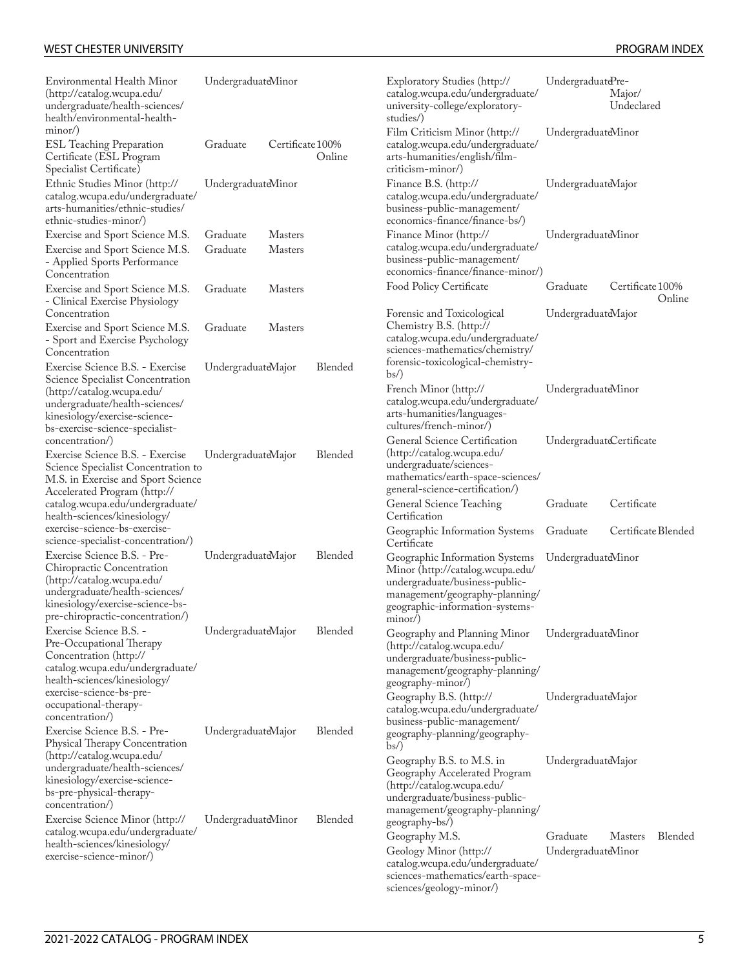| Environmental Health Minor<br>(http://catalog.wcupa.edu/<br>undergraduate/health-sciences/<br>health/environmental-health-                                                                               | UndergraduateMinor   |                                  |         | Exploratory Studies (http://<br>catalog.wcupa.edu/undergraduate/<br>university-college/exploratory-<br>studies/)                                                                       | UndergraduatdPre-              | Major/<br>Undeclared |         |
|----------------------------------------------------------------------------------------------------------------------------------------------------------------------------------------------------------|----------------------|----------------------------------|---------|----------------------------------------------------------------------------------------------------------------------------------------------------------------------------------------|--------------------------------|----------------------|---------|
| minor/)<br><b>ESL Teaching Preparation</b><br>Certificate (ESL Program<br>Specialist Certificate)                                                                                                        | Graduate             | Certificate 100%                 | Online  | Film Criticism Minor (http://<br>catalog.wcupa.edu/undergraduate/<br>arts-humanities/english/film-<br>criticism-minor/)                                                                | UndergraduateMinor             |                      |         |
| Ethnic Studies Minor (http://<br>catalog.wcupa.edu/undergraduate/<br>arts-humanities/ethnic-studies/<br>ethnic-studies-minor/)                                                                           | UndergraduateMinor   |                                  |         | Finance B.S. (http://<br>catalog.wcupa.edu/undergraduate/<br>business-public-management/<br>economics-finance/finance-bs/)                                                             | UndergraduateMajor             |                      |         |
| Exercise and Sport Science M.S.<br>Exercise and Sport Science M.S.<br>- Applied Sports Performance<br>Concentration                                                                                      | Graduate<br>Graduate | <b>Masters</b><br><b>Masters</b> |         | Finance Minor (http://<br>catalog.wcupa.edu/undergraduate/<br>business-public-management/<br>economics-finance/finance-minor/)                                                         | UndergraduateMinor             |                      |         |
| Exercise and Sport Science M.S.<br>- Clinical Exercise Physiology                                                                                                                                        | Graduate             | <b>Masters</b>                   |         | Food Policy Certificate                                                                                                                                                                | Graduate                       | Certificate 100%     | Online  |
| Concentration<br>Exercise and Sport Science M.S.<br>- Sport and Exercise Psychology<br>Concentration                                                                                                     | Graduate             | <b>Masters</b>                   |         | Forensic and Toxicological<br>Chemistry B.S. (http://<br>catalog.wcupa.edu/undergraduate/<br>sciences-mathematics/chemistry/                                                           | UndergraduateMajor             |                      |         |
| Exercise Science B.S. - Exercise<br>Science Specialist Concentration<br>(http://catalog.wcupa.edu/<br>undergraduate/health-sciences/<br>kinesiology/exercise-science-<br>bs-exercise-science-specialist- | UndergraduateMajor   |                                  | Blended | forensic-toxicological-chemistry-<br>$bs$ )<br>French Minor (http://<br>catalog.wcupa.edu/undergraduate/<br>arts-humanities/languages-<br>cultures/french-minor/)                      | UndergraduateMinor             |                      |         |
| concentration/)<br>Exercise Science B.S. - Exercise<br>Science Specialist Concentration to<br>M.S. in Exercise and Sport Science<br>Accelerated Program (http://                                         | UndergraduateMajor   |                                  | Blended | General Science Certification<br>(http://catalog.wcupa.edu/<br>undergraduate/sciences-<br>mathematics/earth-space-sciences/<br>general-science-certification/)                         | UndergraduatdCertificate       |                      |         |
| catalog.wcupa.edu/undergraduate/<br>health-sciences/kinesiology/                                                                                                                                         |                      |                                  |         | General Science Teaching<br>Certification                                                                                                                                              | Graduate                       | Certificate          |         |
| exercise-science-bs-exercise-<br>science-specialist-concentration/)                                                                                                                                      |                      |                                  |         | Geographic Information Systems<br>Certificate                                                                                                                                          | Graduate                       | Certificate Blended  |         |
| Exercise Science B.S. - Pre-<br>Chiropractic Concentration<br>(http://catalog.wcupa.edu/<br>undergraduate/health-sciences/<br>kinesiology/exercise-science-bs-<br>pre-chiropractic-concentration/)       | UndergraduateMajor   |                                  | Blended | Geographic Information Systems<br>Minor (http://catalog.wcupa.edu/<br>undergraduate/business-public-<br>management/geography-planning/<br>geographic-information-systems-<br>$minor$ ) | UndergraduateMinor             |                      |         |
| Exercise Science B.S. -<br>Pre-Occupational Therapy<br>Concentration (http://<br>catalog.wcupa.edu/undergraduate/<br>health-sciences/kinesiology/<br>exercise-science-bs-pre-                            | UndergraduateMajor   |                                  | Blended | Geography and Planning Minor<br>(http://catalog.wcupa.edu/<br>undergraduate/business-public-<br>management/geography-planning/<br>geography-minor/)                                    | UndergraduateMinor             |                      |         |
| occupational-therapy-<br>concentration/)<br>Exercise Science B.S. - Pre-<br>Physical Therapy Concentration                                                                                               | UndergraduateMajor   |                                  | Blended | Geography B.S. (http://<br>catalog.wcupa.edu/undergraduate/<br>business-public-management/<br>geography-planning/geography-                                                            | UndergraduateMajor             |                      |         |
| (http://catalog.wcupa.edu/<br>undergraduate/health-sciences/<br>kinesiology/exercise-science-<br>bs-pre-physical-therapy-<br>concentration/)                                                             |                      |                                  |         | bs/<br>Geography B.S. to M.S. in<br>Geography Accelerated Program<br>(http://catalog.wcupa.edu/<br>undergraduate/business-public-<br>management/geography-planning/                    | UndergraduateMajor             |                      |         |
| Exercise Science Minor (http://<br>catalog.wcupa.edu/undergraduate/<br>health-sciences/kinesiology/<br>exercise-science-minor/)                                                                          | UndergraduateMinor   |                                  | Blended | geography-bs/)<br>Geography M.S.<br>Geology Minor (http://<br>catalog.wcupa.edu/undergraduate/<br>sciences-mathematics/earth-space-                                                    | Graduate<br>UndergraduateMinor | <b>Masters</b>       | Blended |

[sciences/geology-minor/\)](http://catalog.wcupa.edu/undergraduate/sciences-mathematics/earth-space-sciences/geology-minor/)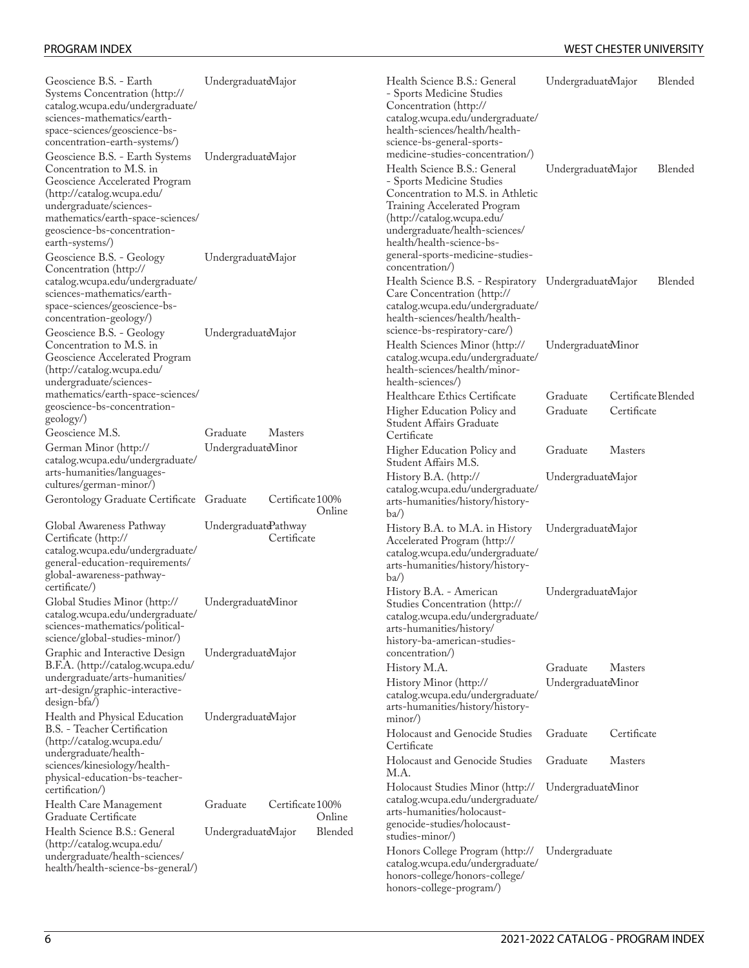| Geoscience B.S. - Earth<br>Systems Concentration (http://<br>catalog.wcupa.edu/undergraduate/<br>sciences-mathematics/earth-<br>space-sciences/geoscience-bs-<br>concentration-earth-systems/)                                                 | UndergraduateMajor   |                  |         | Health Science B.S.: General<br>- Sports Medicine Studies<br>Concentration (http://<br>catalog.wcupa.edu/undergraduate/<br>health-sciences/health/health-<br>science-bs-general-sports-                                                                         | UndergraduateMajor             |                                    | Blended |
|------------------------------------------------------------------------------------------------------------------------------------------------------------------------------------------------------------------------------------------------|----------------------|------------------|---------|-----------------------------------------------------------------------------------------------------------------------------------------------------------------------------------------------------------------------------------------------------------------|--------------------------------|------------------------------------|---------|
| Geoscience B.S. - Earth Systems<br>Concentration to M.S. in<br>Geoscience Accelerated Program<br>(http://catalog.wcupa.edu/<br>undergraduate/sciences-<br>mathematics/earth-space-sciences/<br>geoscience-bs-concentration-<br>earth-systems/) | UndergraduateMajor   |                  |         | medicine-studies-concentration/)<br>Health Science B.S.: General<br>- Sports Medicine Studies<br>Concentration to M.S. in Athletic<br>Training Accelerated Program<br>(http://catalog.wcupa.edu/<br>undergraduate/health-sciences/<br>health/health-science-bs- | UndergraduateMajor             |                                    | Blended |
| Geoscience B.S. - Geology<br>Concentration (http://<br>catalog.wcupa.edu/undergraduate/                                                                                                                                                        | UndergraduateMajor   |                  |         | general-sports-medicine-studies-<br>concentration/)<br>Health Science B.S. - Respiratory UndergraduateMajor                                                                                                                                                     |                                |                                    | Blended |
| sciences-mathematics/earth-<br>space-sciences/geoscience-bs-<br>concentration-geology/)                                                                                                                                                        |                      |                  |         | Care Concentration (http://<br>catalog.wcupa.edu/undergraduate/<br>health-sciences/health/health-                                                                                                                                                               |                                |                                    |         |
| Geoscience B.S. - Geology<br>Concentration to M.S. in<br>Geoscience Accelerated Program<br>(http://catalog.wcupa.edu/<br>undergraduate/sciences-                                                                                               | UndergraduateMajor   |                  |         | science-bs-respiratory-care/)<br>Health Sciences Minor (http://<br>catalog.wcupa.edu/undergraduate/<br>health-sciences/health/minor-<br>health-sciences/)                                                                                                       | UndergraduateMinor             |                                    |         |
| mathematics/earth-space-sciences/<br>geoscience-bs-concentration-<br>geology/)<br>Geoscience M.S.                                                                                                                                              | Graduate             | <b>Masters</b>   |         | Healthcare Ethics Certificate<br>Higher Education Policy and<br>Student Affairs Graduate<br>Certificate                                                                                                                                                         | Graduate<br>Graduate           | Certificate Blended<br>Certificate |         |
| German Minor (http://<br>catalog.wcupa.edu/undergraduate/                                                                                                                                                                                      | UndergraduateMinor   |                  |         | Higher Education Policy and<br>Student Affairs M.S.                                                                                                                                                                                                             | Graduate                       | <b>Masters</b>                     |         |
| arts-humanities/languages-<br>cultures/german-minor/)                                                                                                                                                                                          |                      | Certificate 100% |         | History B.A. (http://<br>catalog.wcupa.edu/undergraduate/                                                                                                                                                                                                       | UndergraduateMajor             |                                    |         |
| Gerontology Graduate Certificate Graduate                                                                                                                                                                                                      |                      |                  | Online  | arts-humanities/history/history-<br>$ba$ )                                                                                                                                                                                                                      |                                |                                    |         |
| Global Awareness Pathway<br>Certificate (http://<br>catalog.wcupa.edu/undergraduate/<br>general-education-requirements/<br>global-awareness-pathway-<br>certificate/)                                                                          | UndergraduatePathway | Certificate      |         | History B.A. to M.A. in History<br>Accelerated Program (http://<br>catalog.wcupa.edu/undergraduate/<br>arts-humanities/history/history-<br>$ba$ )                                                                                                               | UndergraduateMajor             |                                    |         |
| Global Studies Minor (http://<br>catalog.wcupa.edu/undergraduate/<br>sciences-mathematics/political-<br>science/global-studies-minor/)                                                                                                         | UndergraduateMinor   |                  |         | History B.A. - American<br>Studies Concentration (http://<br>catalog.wcupa.edu/undergraduate/<br>arts-humanities/history/<br>history-ba-american-studies-                                                                                                       | UndergraduateMajor             |                                    |         |
| Graphic and Interactive Design<br>B.F.A. (http://catalog.wcupa.edu/<br>undergraduate/arts-humanities/<br>art-design/graphic-interactive-<br>$design-bfa/$                                                                                      | UndergraduateMajor   |                  |         | concentration/)<br>History M.A.<br>History Minor (http://<br>catalog.wcupa.edu/undergraduate/<br>arts-humanities/history/history-                                                                                                                               | Graduate<br>UndergraduateMinor | <b>Masters</b>                     |         |
| Health and Physical Education<br>B.S. - Teacher Certification<br>(http://catalog.wcupa.edu/                                                                                                                                                    | UndergraduateMajor   |                  |         | minor/)<br><b>Holocaust and Genocide Studies</b>                                                                                                                                                                                                                | Graduate                       | Certificate                        |         |
| undergraduate/health-<br>sciences/kinesiology/health-<br>physical-education-bs-teacher-                                                                                                                                                        |                      |                  |         | Certificate<br><b>Holocaust and Genocide Studies</b><br>M.A.                                                                                                                                                                                                    | Graduate                       | <b>Masters</b>                     |         |
| certification/)<br>Health Care Management<br>Graduate Certificate                                                                                                                                                                              | Graduate             | Certificate 100% | Online  | Holocaust Studies Minor (http://<br>catalog.wcupa.edu/undergraduate/<br>arts-humanities/holocaust-<br>genocide-studies/holocaust-                                                                                                                               | UndergraduateMinor             |                                    |         |
| Health Science B.S.: General<br>(http://catalog.wcupa.edu/                                                                                                                                                                                     | UndergraduateMajor   |                  | Blended | studies-minor/)                                                                                                                                                                                                                                                 |                                |                                    |         |
| undergraduate/health-sciences/<br>health/health-science-bs-general/)                                                                                                                                                                           |                      |                  |         | Honors College Program (http://<br>catalog.wcupa.edu/undergraduate/<br>honors-college/honors-college/<br>honors-college-program/)                                                                                                                               | Undergraduate                  |                                    |         |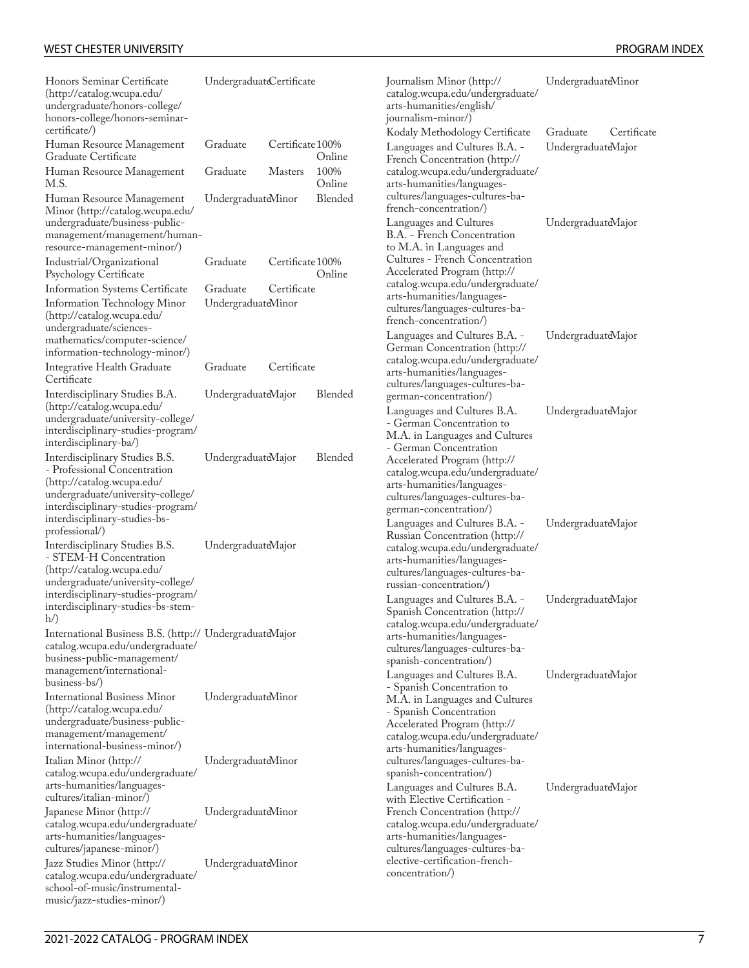| Honors Seminar Certificate<br>(http://catalog.wcupa.edu/<br>undergraduate/honors-college/<br>honors-college/honors-seminar-<br>certificate/)                                                                               | UndergraduateCertificate       |                            |                |
|----------------------------------------------------------------------------------------------------------------------------------------------------------------------------------------------------------------------------|--------------------------------|----------------------------|----------------|
| Human Resource Management<br>Graduate Certificate                                                                                                                                                                          | Graduate                       | Certificate 100%           | Online         |
| Human Resource Management<br>M.S.                                                                                                                                                                                          | Graduate                       | <b>Masters</b>             | 100%<br>Online |
| Human Resource Management<br>Minor (http://catalog.wcupa.edu/<br>undergraduate/business-public-<br>management/management/human-<br>resource-management-minor/)                                                             | UndergraduateMinor             |                            | Blended        |
| Industrial/Organizational<br>Psychology Certificate                                                                                                                                                                        | Graduate                       | Certificate 100%           | Online         |
| Information Systems Certificate<br>Information Technology Minor<br>(http://catalog.wcupa.edu/<br>undergraduate/sciences-<br>mathematics/computer-science/<br>information-technology-minor/)                                | Graduate<br>UndergraduateMinor | Certificate<br>Certificate |                |
| Integrative Health Graduate<br>Certificate                                                                                                                                                                                 | Graduate                       |                            |                |
| Interdisciplinary Studies B.A.<br>(http://catalog.wcupa.edu/<br>undergraduate/university-college/<br>interdisciplinary-studies-program/<br>interdisciplinary-ba/)                                                          | UndergraduateMajor             |                            | Blended        |
| Interdisciplinary Studies B.S.<br>- Professional Concentration<br>(http://catalog.wcupa.edu/<br>undergraduate/university-college/<br>interdisciplinary-studies-program/<br>interdisciplinary-studies-bs-<br>professional/) | UndergraduateMajor             |                            | Blended        |
| Interdisciplinary Studies B.S.<br>- STEM-H Concentration<br>(http://catalog.wcupa.edu/<br>undergraduate/university-college/<br>interdisciplinary-studies-program/<br>interdisciplinary-studies-bs-stem-                    | UndergraduateMajor             |                            |                |
| International Business B.S. (http:// UndergraduateMajor<br>catalog.wcupa.edu/undergraduate/<br>business-public-management/<br>management/international-<br>business-bs/)                                                   |                                |                            |                |
| International Business Minor<br>(http://catalog.wcupa.edu/<br>undergraduate/business-public-<br>management/management/<br>international-business-minor/)                                                                   | UndergraduateMinor             |                            |                |
| Italian Minor (http://<br>catalog.wcupa.edu/undergraduate/<br>arts-humanities/languages-<br>cultures/italian-minor/)                                                                                                       | UndergraduateMinor             |                            |                |
| Japanese Minor (http://<br>catalog.wcupa.edu/undergraduate/<br>arts-humanities/languages-<br>cultures/japanese-minor/)                                                                                                     | UndergraduateMinor             |                            |                |
| Jazz Studies Minor (http://<br>catalog.wcupa.edu/undergraduate/<br>school-of-music/instrumental-<br>music/jazz-studies-minor/)                                                                                             | UndergraduateMinor             |                            |                |

| Journalism Minor (http://<br>catalog.wcupa.edu/undergraduate/<br>arts-humanities/english/                                                                                                                                                                                                                     | UndergraduateMinor                            |
|---------------------------------------------------------------------------------------------------------------------------------------------------------------------------------------------------------------------------------------------------------------------------------------------------------------|-----------------------------------------------|
| journalism-minor/)<br>Kodaly Methodology Certificate<br>Languages and Cultures B.A. -<br>French Concentration (http://<br>catalog.wcupa.edu/undergraduate/<br>arts-humanities/languages-<br>cultures/languages-cultures-ba-                                                                                   | Graduate<br>Certificate<br>UndergraduateMajor |
| french-concentration/)<br>Languages and Cultures<br>B.A. - French Concentration<br>to M.A. in Languages and<br>Cultures - French Concentration<br>Accelerated Program (http://<br>catalog.wcupa.edu/undergraduate/<br>arts-humanities/languages-<br>cultures/languages-cultures-ba-<br>french-concentration/) | UndergraduateMajor                            |
| Languages and Cultures B.A. -<br>German Concentration (http://<br>catalog.wcupa.edu/undergraduate/<br>arts-humanities/languages-<br>cultures/languages-cultures-ba-<br>german-concentration/)                                                                                                                 | UndergraduateMajor                            |
| Languages and Cultures B.A.<br>- German Concentration to<br>M.A. in Languages and Cultures<br>- German Concentration<br>Accelerated Program (http://<br>catalog.wcupa.edu/undergraduate/<br>arts-humanities/languages-<br>cultures/languages-cultures-ba-<br>german-concentration/)                           | UndergraduateMajor                            |
| Languages and Cultures B.A. -<br>Russian Concentration (http://<br>catalog.wcupa.edu/undergraduate/<br>arts-humanities/languages-<br>-cultures/languages-cultures-ba<br>russian-concentration/)                                                                                                               | UndergraduateMajor                            |
| Languages and Cultures B.A. -<br>Spanish Concentration (http://<br>catalog.wcupa.edu/undergraduate/<br>arts-humanities/languages-<br>cultures/languages-cultures-ba-<br>spanish-concentration/)                                                                                                               | UndergraduateMajor                            |
| Languages and Cultures B.A.<br>- Spanish Concentration to<br>M.A. in Languages and Cultures<br>- Spanish Concentration<br>Accelerated Program (http://<br>catalog.wcupa.edu/undergraduate/<br>arts-humanities/languages-<br>cultures/languages-cultures-ba-<br>spanish-concentration/)                        | UndergraduateMajor                            |
| Languages and Cultures B.A.<br>with Elective Certification -<br>French Concentration (http://<br>catalog.wcupa.edu/undergraduate/<br>arts-humanities/languages-<br>cultures/languages-cultures-ba-<br>elective-certification-french-<br>concentration/)                                                       | UndergraduateMajor                            |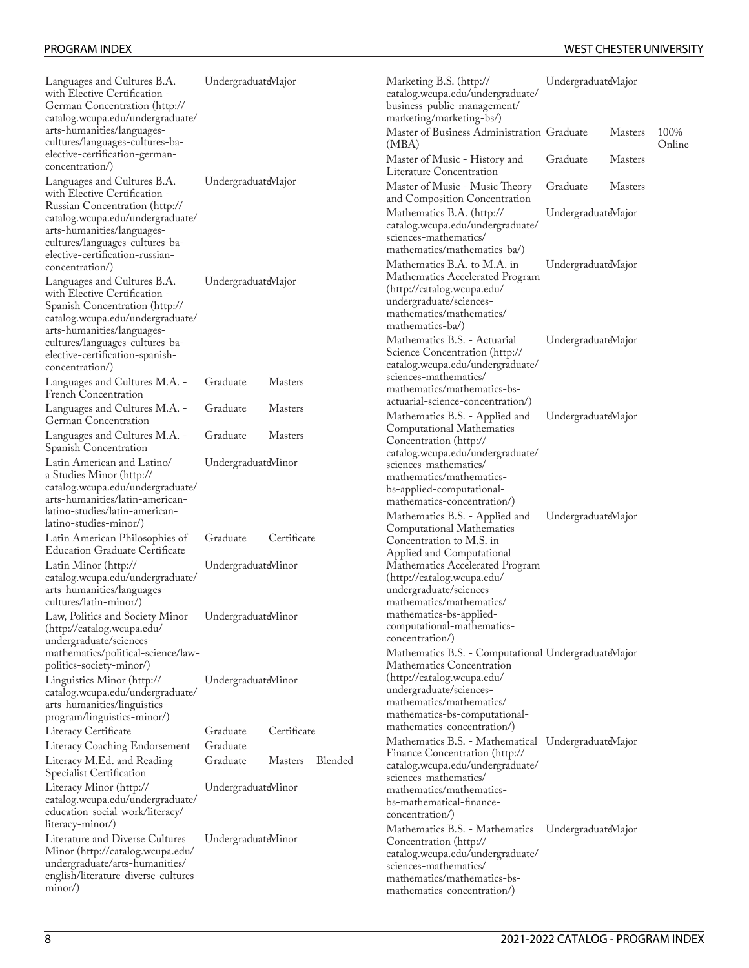| Languages and Cultures B.A.<br>with Elective Certification -<br>German Concentration (http://<br>catalog.wcupa.edu/undergraduate/                                                               | UndergraduateMajor   |                           | Marketing B.S. (http://<br>catalog.wcupa.edu/undergraduate/<br>business-public-management/<br>marketing/marketing-bs/)                                                                                                                | UndergraduateMajor         |                |                |
|-------------------------------------------------------------------------------------------------------------------------------------------------------------------------------------------------|----------------------|---------------------------|---------------------------------------------------------------------------------------------------------------------------------------------------------------------------------------------------------------------------------------|----------------------------|----------------|----------------|
| arts-humanities/languages-<br>cultures/languages-cultures-ba-                                                                                                                                   |                      |                           | Master of Business Administration Graduate<br>(MBA)                                                                                                                                                                                   |                            | <b>Masters</b> | 100%<br>Online |
| elective-certification-german-<br>concentration/)                                                                                                                                               |                      |                           | Master of Music - History and<br>Literature Concentration                                                                                                                                                                             | Graduate                   | <b>Masters</b> |                |
| Languages and Cultures B.A.<br>with Elective Certification -                                                                                                                                    | UndergraduateMajor   |                           | Master of Music - Music Theory<br>and Composition Concentration                                                                                                                                                                       | Graduate<br><b>Masters</b> |                |                |
| Russian Concentration (http://<br>catalog.wcupa.edu/undergraduate/<br>arts-humanities/languages-<br>cultures/languages-cultures-ba-<br>elective-certification-russian-                          |                      |                           | Mathematics B.A. (http://<br>catalog.wcupa.edu/undergraduate/<br>sciences-mathematics/<br>mathematics/mathematics-ba/)                                                                                                                | UndergraduateMajor         |                |                |
| concentration/)<br>Languages and Cultures B.A.<br>with Elective Certification -<br>Spanish Concentration (http://<br>catalog.wcupa.edu/undergraduate/                                           | UndergraduateMajor   |                           | Mathematics B.A. to M.A. in<br>Mathematics Accelerated Program<br>(http://catalog.wcupa.edu/<br>undergraduate/sciences-<br>mathematics/mathematics/<br>mathematics-ba/)                                                               | UndergraduateMajor         |                |                |
| arts-humanities/languages-<br>cultures/languages-cultures-ba-<br>elective-certification-spanish-<br>concentration/)                                                                             |                      |                           | Mathematics B.S. - Actuarial<br>Science Concentration (http://<br>catalog.wcupa.edu/undergraduate/<br>sciences-mathematics/                                                                                                           | UndergraduateMajor         |                |                |
| Languages and Cultures M.A. -<br>French Concentration                                                                                                                                           | Graduate             | Masters                   | mathematics/mathematics-bs-<br>actuarial-science-concentration/)                                                                                                                                                                      |                            |                |                |
| Languages and Cultures M.A. -<br>German Concentration                                                                                                                                           | Graduate             | <b>Masters</b>            | Mathematics B.S. - Applied and<br>Computational Mathematics                                                                                                                                                                           | UndergraduateMajor         |                |                |
| Languages and Cultures M.A. -<br>Spanish Concentration                                                                                                                                          | Graduate             | <b>Masters</b>            | Concentration (http://<br>catalog.wcupa.edu/undergraduate/                                                                                                                                                                            |                            |                |                |
| Latin American and Latino/<br>a Studies Minor (http://<br>catalog.wcupa.edu/undergraduate/<br>arts-humanities/latin-american-<br>latino-studies/latin-american-<br>latino-studies-minor/)       | UndergraduateMinor   |                           | sciences-mathematics/<br>mathematics/mathematics-<br>bs-applied-computational-<br>mathematics-concentration/)<br>Mathematics B.S. - Applied and                                                                                       | UndergraduateMajor         |                |                |
| Latin American Philosophies of<br><b>Education Graduate Certificate</b>                                                                                                                         | Graduate             | Certificate               | Computational Mathematics<br>Concentration to M.S. in<br>Applied and Computational                                                                                                                                                    |                            |                |                |
| Latin Minor (http://<br>catalog.wcupa.edu/undergraduate/<br>arts-humanities/languages-<br>cultures/latin-minor/)                                                                                | UndergraduateMinor   |                           | Mathematics Accelerated Program<br>(http://catalog.wcupa.edu/<br>undergraduate/sciences-<br>mathematics/mathematics/                                                                                                                  |                            |                |                |
| Law, Politics and Society Minor UndergraduateMinor<br>(http://catalog.wcupa.edu/<br>undergraduate/sciences-                                                                                     |                      |                           | mathematics-bs-applied-<br>computational-mathematics-<br>concentration/)                                                                                                                                                              |                            |                |                |
| mathematics/political-science/law-<br>politics-society-minor/)<br>Linguistics Minor (http://<br>catalog.wcupa.edu/undergraduate/<br>arts-humanities/linguistics-<br>program/linguistics-minor/) | UndergraduateMinor   |                           | Mathematics B.S. - Computational UndergraduateMajor<br>Mathematics Concentration<br>(http://catalog.wcupa.edu/<br>undergraduate/sciences-<br>mathematics/mathematics/<br>mathematics-bs-computational-<br>mathematics-concentration/) |                            |                |                |
| Literacy Certificate<br>Literacy Coaching Endorsement                                                                                                                                           | Graduate<br>Graduate | Certificate               | Mathematics B.S. - Mathematical UndergraduateMajor                                                                                                                                                                                    |                            |                |                |
| Literacy M.Ed. and Reading<br>Specialist Certification                                                                                                                                          | Graduate             | Blended<br><b>Masters</b> | Finance Concentration (http://<br>catalog.wcupa.edu/undergraduate/<br>sciences-mathematics/                                                                                                                                           |                            |                |                |
| Literacy Minor (http://<br>catalog.wcupa.edu/undergraduate/<br>education-social-work/literacy/<br>literacy-minor/)                                                                              | UndergraduateMinor   |                           | mathematics/mathematics-<br>bs-mathematical-finance-<br>concentration/)                                                                                                                                                               |                            |                |                |
| Literature and Diverse Cultures<br>Minor (http://catalog.wcupa.edu/<br>undergraduate/arts-humanities/<br>english/literature-diverse-cultures-<br>minor/)                                        | UndergraduateMinor   |                           | Mathematics B.S. - Mathematics<br>Concentration (http://<br>catalog.wcupa.edu/undergraduate/<br>sciences-mathematics/<br>mathematics/mathematics-bs-<br>mathematics-concentration/)                                                   | UndergraduateMajor         |                |                |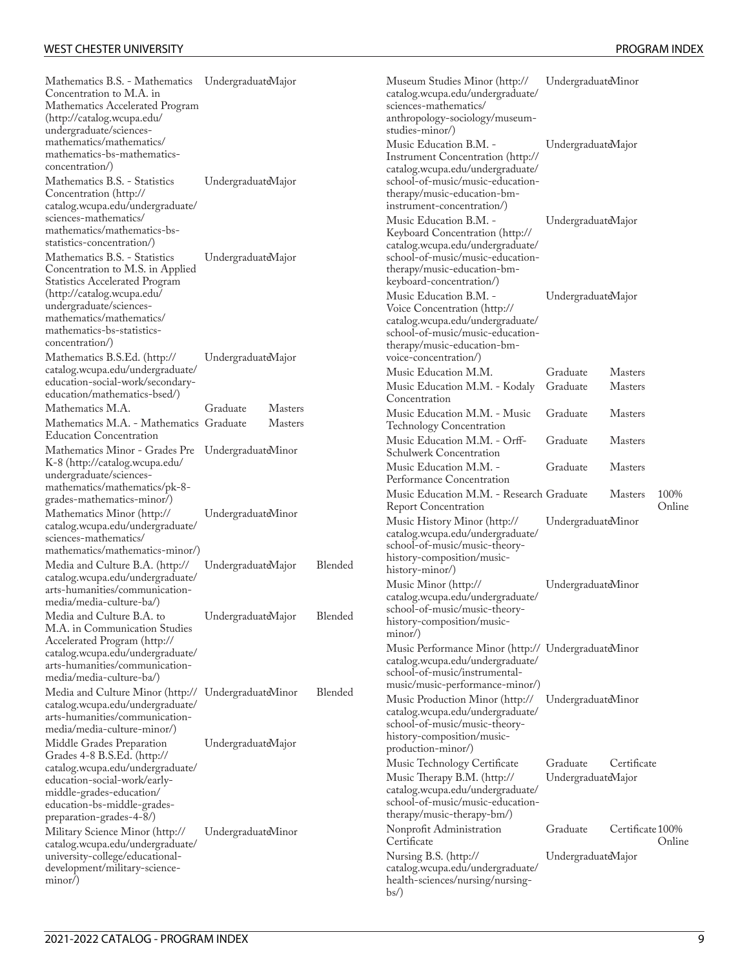Online

| Mathematics B.S. - Mathematics UndergraduateMajor<br>Concentration to M.A. in<br>Mathematics Accelerated Program<br>(http://catalog.wcupa.edu/<br>undergraduate/sciences-<br>mathematics/mathematics/<br>mathematics-bs-mathematics- |                    |                |         | Museum Studies Minor (http://<br>catalog.wcupa.edu/undergraduate/<br>sciences-mathematics/<br>anthropology-sociology/museum-<br>studies-minor/)<br>Music Education B.M. -<br>Instrument Concentration (http:// |                                | UndergraduateMinor<br>UndergraduateMajor |       |
|--------------------------------------------------------------------------------------------------------------------------------------------------------------------------------------------------------------------------------------|--------------------|----------------|---------|----------------------------------------------------------------------------------------------------------------------------------------------------------------------------------------------------------------|--------------------------------|------------------------------------------|-------|
| concentration/)<br>Mathematics B.S. - Statistics<br>Concentration (http://<br>catalog.wcupa.edu/undergraduate/                                                                                                                       | UndergraduateMajor |                |         | catalog.wcupa.edu/undergraduate/<br>school-of-music/music-education-<br>therapy/music-education-bm-<br>instrument-concentration/)                                                                              |                                |                                          |       |
| sciences-mathematics/<br>mathematics/mathematics-bs-<br>statistics-concentration/)<br>Mathematics B.S. - Statistics<br>Concentration to M.S. in Applied                                                                              | UndergraduateMajor |                |         | Music Education B.M. -<br>Keyboard Concentration (http://<br>catalog.wcupa.edu/undergraduate/<br>school-of-music/music-education-<br>therapy/music-education-bm-                                               |                                | UndergraduateMajor                       |       |
| <b>Statistics Accelerated Program</b><br>(http://catalog.wcupa.edu/<br>undergraduate/sciences-<br>mathematics/mathematics/<br>mathematics-bs-statistics-<br>concentration/)                                                          |                    |                |         | keyboard-concentration/)<br>Music Education B.M. -<br>Voice Concentration (http://<br>catalog.wcupa.edu/undergraduate/<br>school-of-music/music-education-<br>therapy/music-education-bm-                      | UndergraduateMajor             |                                          |       |
| Mathematics B.S.Ed. (http://<br>catalog.wcupa.edu/undergraduate/                                                                                                                                                                     | UndergraduateMajor |                |         | voice-concentration/)<br>Music Education M.M.                                                                                                                                                                  | Graduate                       | <b>Masters</b>                           |       |
| education-social-work/secondary-<br>education/mathematics-bsed/)                                                                                                                                                                     |                    |                |         | Music Education M.M. - Kodaly<br>Concentration                                                                                                                                                                 | Graduate                       | <b>Masters</b>                           |       |
| Mathematics M.A.                                                                                                                                                                                                                     | Graduate           | <b>Masters</b> |         | Music Education M.M. - Music                                                                                                                                                                                   | Graduate                       | <b>Masters</b>                           |       |
| Mathematics M.A. - Mathematics Graduate<br><b>Education Concentration</b>                                                                                                                                                            |                    | <b>Masters</b> |         | <b>Technology Concentration</b>                                                                                                                                                                                |                                |                                          |       |
| Mathematics Minor - Grades Pre UndergraduateMinor                                                                                                                                                                                    |                    |                |         | Music Education M.M. - Orff-<br>Schulwerk Concentration                                                                                                                                                        | Graduate                       | <b>Masters</b>                           |       |
| K-8 (http://catalog.wcupa.edu/<br>undergraduate/sciences-<br>mathematics/mathematics/pk-8-                                                                                                                                           |                    |                |         | Music Education M.M. -<br>Performance Concentration<br>Music Education M.M. - Research Graduate                                                                                                                | Graduate                       | <b>Masters</b><br><b>Masters</b>         | 100%  |
| grades-mathematics-minor/)                                                                                                                                                                                                           |                    |                |         | <b>Report Concentration</b>                                                                                                                                                                                    |                                |                                          | Onlin |
| Mathematics Minor (http://<br>catalog.wcupa.edu/undergraduate/<br>sciences-mathematics/<br>mathematics/mathematics-minor/)                                                                                                           | UndergraduateMinor |                |         | Music History Minor (http://<br>catalog.wcupa.edu/undergraduate/<br>school-of-music/music-theory-                                                                                                              | UndergraduateMinor             |                                          |       |
| Media and Culture B.A. (http://<br>catalog.wcupa.edu/undergraduate/                                                                                                                                                                  | UndergraduateMajor |                | Blended | history-composition/music-<br>history-minor/)                                                                                                                                                                  |                                |                                          |       |
| arts-humanities/communication-<br>media/media-culture-ba/)                                                                                                                                                                           |                    |                |         | Music Minor (http://<br>catalog.wcupa.edu/undergraduate/                                                                                                                                                       | UndergraduateMinor             |                                          |       |
| Media and Culture B.A. to<br>M.A. in Communication Studies                                                                                                                                                                           | UndergraduateMajor |                | Blended | school-of-music/music-theory-<br>history-composition/music-<br>minor/)                                                                                                                                         |                                |                                          |       |
| Accelerated Program (http://<br>catalog.wcupa.edu/undergraduate/<br>arts-humanities/communication-<br>media/media-culture-ba/)                                                                                                       |                    |                |         | Music Performance Minor (http:// UndergraduateMinor<br>catalog.wcupa.edu/undergraduate/<br>school-of-music/instrumental-<br>music/music-performance-minor/)                                                    |                                |                                          |       |
| Media and Culture Minor (http:// UndergraduateMinor<br>catalog.wcupa.edu/undergraduate/<br>arts-humanities/communication-<br>media/media-culture-minor/)                                                                             |                    |                | Blended | Music Production Minor (http://<br>catalog.wcupa.edu/undergraduate/<br>school-of-music/music-theory-<br>history-composition/music-                                                                             | UndergraduateMinor             |                                          |       |
| Middle Grades Preparation<br>Grades 4-8 B.S.Ed. (http://                                                                                                                                                                             | UndergraduateMajor |                |         | production-minor/)                                                                                                                                                                                             |                                | Certificate                              |       |
| catalog.wcupa.edu/undergraduate/<br>education-social-work/early-<br>middle-grades-education/<br>education-bs-middle-grades-<br>preparation-grades-4-8/)                                                                              |                    |                |         | Music Technology Certificate<br>Music Therapy B.M. (http://<br>catalog.wcupa.edu/undergraduate/<br>school-of-music/music-education-<br>therapy/music-therapy-bm/)                                              | Graduate<br>UndergraduateMajor |                                          |       |
| Military Science Minor (http://                                                                                                                                                                                                      | UndergraduateMinor |                |         | Nonprofit Administration<br>Certificate                                                                                                                                                                        | Graduate                       | Certificate 100%                         | Onlin |
| catalog.wcupa.edu/undergraduate/<br>university-college/educational-<br>development/military-science-<br>minor/)                                                                                                                      |                    |                |         | Nursing B.S. (http://<br>catalog.wcupa.edu/undergraduate/<br>health-sciences/nursing/nursing-<br>$bs$ )                                                                                                        | UndergraduateMajor             |                                          |       |

Online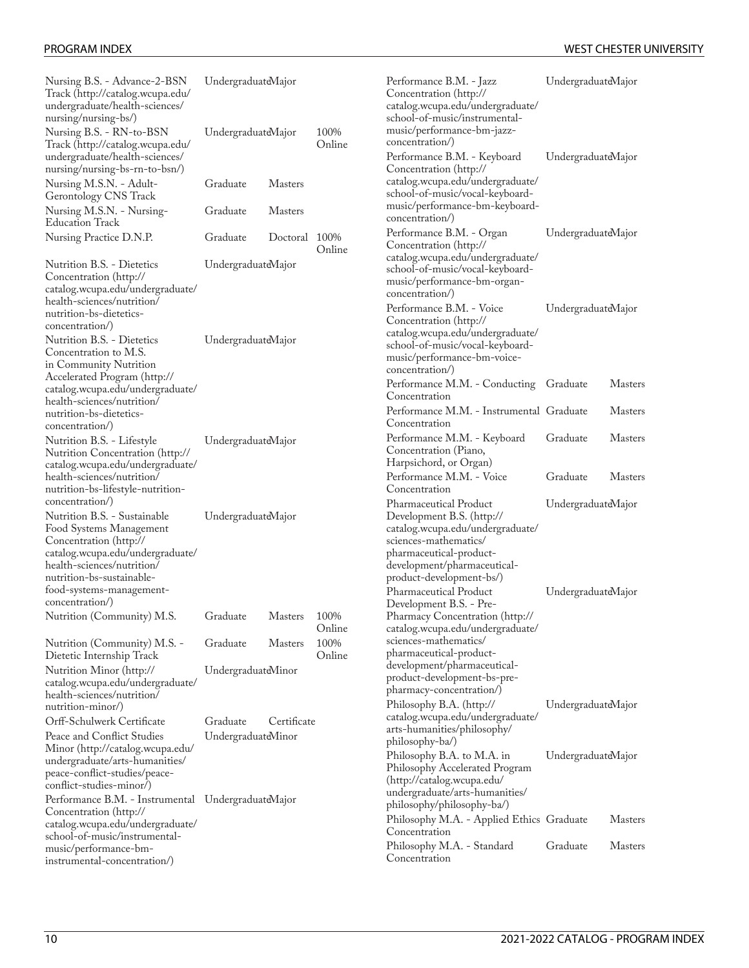| Nursing B.S. - Advance-2-BSN<br>Track (http://catalog.wcupa.edu/<br>undergraduate/health-sciences/                                                                                                                              | UndergraduateMajor |                |                |
|---------------------------------------------------------------------------------------------------------------------------------------------------------------------------------------------------------------------------------|--------------------|----------------|----------------|
| nursing/nursing-bs/)<br>Nursing B.S. - RN-to-BSN<br>Track (http://catalog.wcupa.edu/<br>undergraduate/health-sciences/                                                                                                          | UndergraduateMajor |                | 100%<br>Online |
| nursing/nursing-bs-rn-to-bsn/)<br>Nursing M.S.N. - Adult-<br>Gerontology CNS Track                                                                                                                                              | Graduate           | Masters        |                |
| Nursing M.S.N. - Nursing-<br>Education Track                                                                                                                                                                                    | Graduate           | <b>Masters</b> |                |
| Nursing Practice D.N.P.                                                                                                                                                                                                         | Graduate           | Doctoral       | 100%<br>Online |
| Nutrition B.S. - Dietetics<br>Concentration (http://<br>catalog.wcupa.edu/undergraduate/<br>health-sciences/nutrition/<br>nutrition-bs-dietetics-<br>concentration/)                                                            | UndergraduateMajor |                |                |
| Nutrition B.S. - Dietetics<br>Concentration to M.S.<br>in Community Nutrition<br>Accelerated Program (http://<br>catalog.wcupa.edu/undergraduate/<br>health-sciences/nutrition/<br>nutrition-bs-dietetics-<br>concentration/)   | UndergraduateMajor |                |                |
| Nutrition B.S. - Lifestyle<br>Nutrition Concentration (http://<br>catalog.wcupa.edu/undergraduate/<br>health-sciences/nutrition/<br>nutrition-bs-lifestyle-nutrition-<br>concentration/)                                        | UndergraduateMajor |                |                |
| Nutrition B.S. - Sustainable<br>Food Systems Management<br>Concentration (http://<br>catalog.wcupa.edu/undergraduate/<br>health-sciences/nutrition/<br>nutrition-bs-sustainable-<br>tood-systems-management-<br>concentration/) | UndergraduateMajor |                |                |
| Nutrition (Community) M.S.                                                                                                                                                                                                      | Graduate           | Masters        | 100%<br>Online |
| Nutrition (Community) M.S. -<br>Dietetic Internship Track                                                                                                                                                                       | Graduate           | <b>Masters</b> | 100%<br>Online |
| Nutrition Minor (http://<br>catalog.wcupa.edu/undergraduate/<br>health-sciences/nutrition/<br>nutrition-minor/)                                                                                                                 | UndergraduateMinor |                |                |
| Orff-Schulwerk Certificate                                                                                                                                                                                                      | Graduate           | Certificate    |                |
| Peace and Conflict Studies<br>Minor (http://catalog.wcupa.edu/<br>undergraduate/arts-humanities/<br>peace-conflict-studies/peace-<br>conflict-studies-minor/)                                                                   | UndergraduateMinor |                |                |
| Performance B.M. - Instrumental<br>Concentration (http://<br>catalog.wcupa.edu/undergraduate/<br>school-of-music/instrumental-<br>music/performance-bm-<br>instrumental-concentration/)                                         | UndergraduateMajor |                |                |

[Performance](http://catalog.wcupa.edu/undergraduate/school-of-music/instrumental-music/performance-bm-jazz-concentration/) B.M. - Jazz [Concentration](http://catalog.wcupa.edu/undergraduate/school-of-music/instrumental-music/performance-bm-jazz-concentration/) ([http://](http://catalog.wcupa.edu/undergraduate/school-of-music/instrumental-music/performance-bm-jazz-concentration/) [catalog.wcupa.edu/undergraduate/](http://catalog.wcupa.edu/undergraduate/school-of-music/instrumental-music/performance-bm-jazz-concentration/) [school-of-music/instrumental](http://catalog.wcupa.edu/undergraduate/school-of-music/instrumental-music/performance-bm-jazz-concentration/)[music/performance-bm-jazz](http://catalog.wcupa.edu/undergraduate/school-of-music/instrumental-music/performance-bm-jazz-concentration/)[concentration/\)](http://catalog.wcupa.edu/undergraduate/school-of-music/instrumental-music/performance-bm-jazz-concentration/) UndergraduateMajor [Performance](http://catalog.wcupa.edu/undergraduate/school-of-music/vocal-keyboard-music/performance-bm-keyboard-concentration/) B.M. - Keyboard [Concentration](http://catalog.wcupa.edu/undergraduate/school-of-music/vocal-keyboard-music/performance-bm-keyboard-concentration/) ([http://](http://catalog.wcupa.edu/undergraduate/school-of-music/vocal-keyboard-music/performance-bm-keyboard-concentration/) [catalog.wcupa.edu/undergraduate/](http://catalog.wcupa.edu/undergraduate/school-of-music/vocal-keyboard-music/performance-bm-keyboard-concentration/) [school-of-music/vocal-keyboard](http://catalog.wcupa.edu/undergraduate/school-of-music/vocal-keyboard-music/performance-bm-keyboard-concentration/)[music/performance-bm-keyboard](http://catalog.wcupa.edu/undergraduate/school-of-music/vocal-keyboard-music/performance-bm-keyboard-concentration/)[concentration/\)](http://catalog.wcupa.edu/undergraduate/school-of-music/vocal-keyboard-music/performance-bm-keyboard-concentration/) UndergraduateMajor [Performance](http://catalog.wcupa.edu/undergraduate/school-of-music/vocal-keyboard-music/performance-bm-organ-concentration/) B.M. - Organ [Concentration](http://catalog.wcupa.edu/undergraduate/school-of-music/vocal-keyboard-music/performance-bm-organ-concentration/) ([http://](http://catalog.wcupa.edu/undergraduate/school-of-music/vocal-keyboard-music/performance-bm-organ-concentration/) [catalog.wcupa.edu/undergraduate/](http://catalog.wcupa.edu/undergraduate/school-of-music/vocal-keyboard-music/performance-bm-organ-concentration/) [school-of-music/vocal-keyboard](http://catalog.wcupa.edu/undergraduate/school-of-music/vocal-keyboard-music/performance-bm-organ-concentration/)[music/performance-bm-organ](http://catalog.wcupa.edu/undergraduate/school-of-music/vocal-keyboard-music/performance-bm-organ-concentration/)[concentration/\)](http://catalog.wcupa.edu/undergraduate/school-of-music/vocal-keyboard-music/performance-bm-organ-concentration/) UndergraduateMajor [Performance](http://catalog.wcupa.edu/undergraduate/school-of-music/vocal-keyboard-music/performance-bm-voice-concentration/) B.M. - Voice [Concentration](http://catalog.wcupa.edu/undergraduate/school-of-music/vocal-keyboard-music/performance-bm-voice-concentration/) ([http://](http://catalog.wcupa.edu/undergraduate/school-of-music/vocal-keyboard-music/performance-bm-voice-concentration/) [catalog.wcupa.edu/undergraduate/](http://catalog.wcupa.edu/undergraduate/school-of-music/vocal-keyboard-music/performance-bm-voice-concentration/) [school-of-music/vocal-keyboard](http://catalog.wcupa.edu/undergraduate/school-of-music/vocal-keyboard-music/performance-bm-voice-concentration/)[music/performance-bm-voice](http://catalog.wcupa.edu/undergraduate/school-of-music/vocal-keyboard-music/performance-bm-voice-concentration/)[concentration/\)](http://catalog.wcupa.edu/undergraduate/school-of-music/vocal-keyboard-music/performance-bm-voice-concentration/) UndergraduateMajor Performance M.M. - Conducting Graduate Masters Concentration Performance M.M. - Instrumental Graduate Masters Concentration Performance M.M. - Keyboard Concentration (Piano, Harpsichord, or Organ) Graduate Masters Performance M.M. - Voice Concentration Graduate Masters [Pharmaceutical](http://catalog.wcupa.edu/undergraduate/sciences-mathematics/pharmaceutical-product-development/pharmaceutical-product-development-bs/) Product [Development](http://catalog.wcupa.edu/undergraduate/sciences-mathematics/pharmaceutical-product-development/pharmaceutical-product-development-bs/) B.S. [\(http://](http://catalog.wcupa.edu/undergraduate/sciences-mathematics/pharmaceutical-product-development/pharmaceutical-product-development-bs/) [catalog.wcupa.edu/undergraduate/](http://catalog.wcupa.edu/undergraduate/sciences-mathematics/pharmaceutical-product-development/pharmaceutical-product-development-bs/) [sciences-mathematics/](http://catalog.wcupa.edu/undergraduate/sciences-mathematics/pharmaceutical-product-development/pharmaceutical-product-development-bs/) [pharmaceutical-product](http://catalog.wcupa.edu/undergraduate/sciences-mathematics/pharmaceutical-product-development/pharmaceutical-product-development-bs/)[development/pharmaceutical](http://catalog.wcupa.edu/undergraduate/sciences-mathematics/pharmaceutical-product-development/pharmaceutical-product-development-bs/)[product-development-bs/](http://catalog.wcupa.edu/undergraduate/sciences-mathematics/pharmaceutical-product-development/pharmaceutical-product-development-bs/)) UndergraduateMajor [Pharmaceutical](http://catalog.wcupa.edu/undergraduate/sciences-mathematics/pharmaceutical-product-development/pharmaceutical-product-development-bs-pre-pharmacy-concentration/) Product [Development](http://catalog.wcupa.edu/undergraduate/sciences-mathematics/pharmaceutical-product-development/pharmaceutical-product-development-bs-pre-pharmacy-concentration/) B.S. - Pre-Pharmacy [Concentration](http://catalog.wcupa.edu/undergraduate/sciences-mathematics/pharmaceutical-product-development/pharmaceutical-product-development-bs-pre-pharmacy-concentration/) [\(http://](http://catalog.wcupa.edu/undergraduate/sciences-mathematics/pharmaceutical-product-development/pharmaceutical-product-development-bs-pre-pharmacy-concentration/) [catalog.wcupa.edu/undergraduate/](http://catalog.wcupa.edu/undergraduate/sciences-mathematics/pharmaceutical-product-development/pharmaceutical-product-development-bs-pre-pharmacy-concentration/) [sciences-mathematics/](http://catalog.wcupa.edu/undergraduate/sciences-mathematics/pharmaceutical-product-development/pharmaceutical-product-development-bs-pre-pharmacy-concentration/) [pharmaceutical-product](http://catalog.wcupa.edu/undergraduate/sciences-mathematics/pharmaceutical-product-development/pharmaceutical-product-development-bs-pre-pharmacy-concentration/)[development/pharmaceutical](http://catalog.wcupa.edu/undergraduate/sciences-mathematics/pharmaceutical-product-development/pharmaceutical-product-development-bs-pre-pharmacy-concentration/)[product-development-bs-pre](http://catalog.wcupa.edu/undergraduate/sciences-mathematics/pharmaceutical-product-development/pharmaceutical-product-development-bs-pre-pharmacy-concentration/)[pharmacy-concentration/\)](http://catalog.wcupa.edu/undergraduate/sciences-mathematics/pharmaceutical-product-development/pharmaceutical-product-development-bs-pre-pharmacy-concentration/) UndergraduateMajor [Philosophy](http://catalog.wcupa.edu/undergraduate/arts-humanities/philosophy/philosophy-ba/) B.A. [\(http://](http://catalog.wcupa.edu/undergraduate/arts-humanities/philosophy/philosophy-ba/) [catalog.wcupa.edu/undergraduate/](http://catalog.wcupa.edu/undergraduate/arts-humanities/philosophy/philosophy-ba/) [arts-humanities/philosophy/](http://catalog.wcupa.edu/undergraduate/arts-humanities/philosophy/philosophy-ba/) [philosophy-ba/\)](http://catalog.wcupa.edu/undergraduate/arts-humanities/philosophy/philosophy-ba/) UndergraduateMajor [Philosophy](http://catalog.wcupa.edu/undergraduate/arts-humanities/philosophy/philosophy-ba/) B.A. to M.A. in Philosophy [Accelerated](http://catalog.wcupa.edu/undergraduate/arts-humanities/philosophy/philosophy-ba/) Program ([http://catalog.wcupa.edu/](http://catalog.wcupa.edu/undergraduate/arts-humanities/philosophy/philosophy-ba/) [undergraduate/arts-humanities/](http://catalog.wcupa.edu/undergraduate/arts-humanities/philosophy/philosophy-ba/) [philosophy/philosophy-ba/](http://catalog.wcupa.edu/undergraduate/arts-humanities/philosophy/philosophy-ba/)) UndergraduateMajor Philosophy M.A. - Applied Ethics Graduate Masters Concentration Philosophy M.A. - Standard Concentration Graduate Masters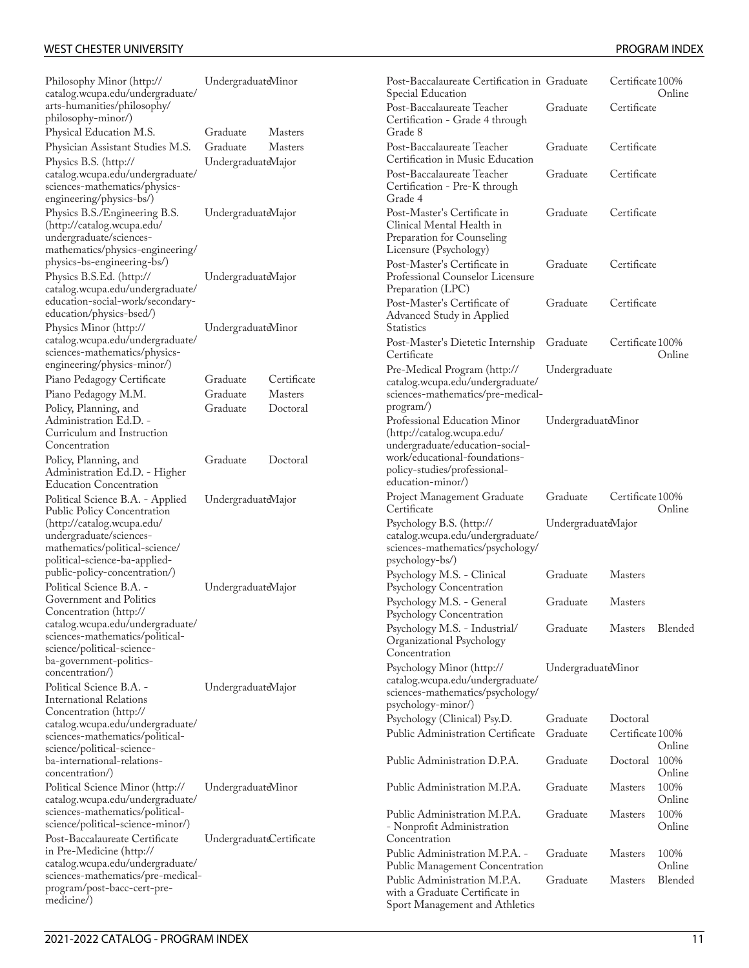| Philosophy Minor (http://<br>catalog.wcupa.edu/undergraduate/                                                            | UndergraduateMinor       |                                  | Post-Baccalaureate Certification in Graduate<br>Special Education                                                       |                      | Certificate 100%             | Online           |
|--------------------------------------------------------------------------------------------------------------------------|--------------------------|----------------------------------|-------------------------------------------------------------------------------------------------------------------------|----------------------|------------------------------|------------------|
| arts-humanities/philosophy/<br>philosophy-minor/)                                                                        |                          |                                  | Post-Baccalaureate Teacher<br>Certification - Grade 4 through                                                           | Graduate             | Certificate                  |                  |
| Physical Education M.S.<br>Physician Assistant Studies M.S.                                                              | Graduate<br>Graduate     | <b>Masters</b><br><b>Masters</b> | Grade 8<br>Post-Baccalaureate Teacher                                                                                   | Graduate             | Certificate                  |                  |
| Physics B.S. (http://<br>catalog.wcupa.edu/undergraduate/<br>sciences-mathematics/physics-<br>engineering/physics-bs/)   | UndergraduateMajor       |                                  | Certification in Music Education<br>Post-Baccalaureate Teacher<br>Certification - Pre-K through<br>Grade 4              | Graduate             | Certificate                  |                  |
| Physics B.S./Engineering B.S.<br>(http://catalog.wcupa.edu/<br>undergraduate/sciences-                                   | UndergraduateMajor       |                                  | Post-Master's Certificate in<br>Clinical Mental Health in<br>Preparation for Counseling                                 | Graduate             | Certificate                  |                  |
| mathematics/physics-engineering/<br>physics-bs-engineering-bs/)<br>Physics B.S.Ed. (http://                              | UndergraduateMajor       |                                  | Licensure (Psychology)<br>Post-Master's Certificate in<br>Professional Counselor Licensure                              | Graduate             | Certificate                  |                  |
| catalog.wcupa.edu/undergraduate/<br>education-social-work/secondary-<br>education/physics-bsed/)                         |                          |                                  | Preparation (LPC)<br>Post-Master's Certificate of<br>Advanced Study in Applied                                          | Graduate             | Certificate                  |                  |
| Physics Minor (http://<br>catalog.wcupa.edu/undergraduate/<br>sciences-mathematics/physics-                              | UndergraduateMinor       |                                  | <b>Statistics</b><br>Post-Master's Dietetic Internship<br>Certificate                                                   | Graduate             | Certificate 100%             | Online           |
| engineering/physics-minor/)<br>Piano Pedagogy Certificate<br>Piano Pedagogy M.M.                                         | Graduate<br>Graduate     | Certificate<br><b>Masters</b>    | Pre-Medical Program (http://<br>catalog.wcupa.edu/undergraduate/<br>sciences-mathematics/pre-medical-                   | Undergraduate        |                              |                  |
| Policy, Planning, and<br>Administration Ed.D. -<br>Curriculum and Instruction<br>Concentration                           | Graduate                 | Doctoral                         | program/)<br>Professional Education Minor<br>(http://catalog.wcupa.edu/<br>undergraduate/education-social-              | UndergraduateMinor   |                              |                  |
| Policy, Planning, and<br>Administration Ed.D. - Higher<br><b>Education Concentration</b>                                 | Graduate                 | Doctoral                         | work/educational-foundations-<br>policy-studies/professional-<br>education-minor/)                                      |                      |                              |                  |
| Political Science B.A. - Applied<br><b>Public Policy Concentration</b>                                                   | UndergraduateMajor       |                                  | Project Management Graduate<br>Certificate                                                                              | Graduate             | Certificate 100%             | Online           |
| (http://catalog.wcupa.edu/<br>undergraduate/sciences-<br>mathematics/political-science/<br>political-science-ba-applied- |                          |                                  | Psychology B.S. (http://<br>catalog.wcupa.edu/undergraduate/<br>sciences-mathematics/psychology/<br>psychology-bs/)     | UndergraduateMajor   |                              |                  |
| public-policy-concentration/)<br>Political Science B.A. -                                                                | UndergraduateMajor       |                                  | Psychology M.S. - Clinical<br>Psychology Concentration                                                                  | Graduate             | <b>Masters</b>               |                  |
| Government and Politics<br>Concentration (http://                                                                        |                          |                                  | Psychology M.S. - General<br>Psychology Concentration                                                                   | Graduate             | <b>Masters</b>               |                  |
| catalog.wcupa.edu/undergraduate/<br>sciences-mathematics/political-<br>science/political-science-                        |                          |                                  | Psychology M.S. - Industrial/<br>Organizational Psychology<br>Concentration                                             | Graduate             | Masters                      | Blended          |
| ba-government-politics-<br>concentration/)<br>Political Science B.A. -<br>International Relations                        | UndergraduateMajor       |                                  | Psychology Minor (http://<br>catalog.wcupa.edu/undergraduate/<br>sciences-mathematics/psychology/<br>psychology-minor/) | UndergraduateMinor   |                              |                  |
| Concentration (http://<br>catalog.wcupa.edu/undergraduate/                                                               |                          |                                  | Psychology (Clinical) Psy.D.<br>Public Administration Certificate                                                       | Graduate<br>Graduate | Doctoral<br>Certificate 100% |                  |
| sciences-mathematics/political-<br>science/political-science-<br>ba-international-relations-<br>concentration/)          |                          |                                  | Public Administration D.P.A.                                                                                            | Graduate             | Doctoral 100%                | Online<br>Online |
| Political Science Minor (http://<br>catalog.wcupa.edu/undergraduate/                                                     | UndergraduateMinor       |                                  | Public Administration M.P.A.                                                                                            | Graduate             | <b>Masters</b>               | 100%<br>Online   |
| sciences-mathematics/political-<br>science/political-science-minor/)                                                     |                          |                                  | Public Administration M.P.A.<br>- Nonprofit Administration                                                              | Graduate             | <b>Masters</b>               | 100%<br>Online   |
| Post-Baccalaureate Certificate<br>in Pre-Medicine (http://<br>catalog.wcupa.edu/undergraduate/                           | UndergraduateCertificate |                                  | Concentration<br>Public Administration M.P.A. -<br>Public Management Concentration                                      | Graduate             | <b>Masters</b>               | 100%<br>Online   |
| sciences-mathematics/pre-medical-<br>program/post-bacc-cert-pre-<br>medicine/)                                           |                          |                                  | Public Administration M.P.A.<br>with a Graduate Certificate in<br>Sport Management and Athletics                        | Graduate             | <b>Masters</b>               | Blended          |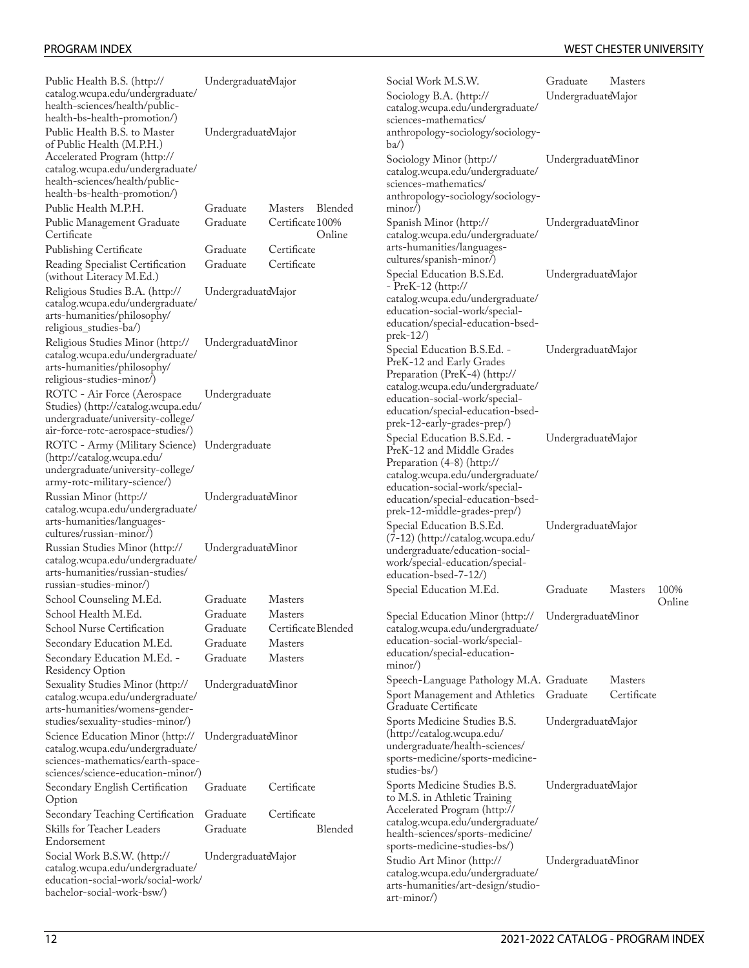| Public Health B.S. (http://<br>catalog.wcupa.edu/undergraduate/<br>health-sciences/health/public-<br>health-bs-health-promotion/)                                                     | UndergraduateMajor   |                                       | Social Work M.S.W.<br>Sociology B.A. (http://<br>catalog.wcupa.edu/undergraduate/<br>sciences-mathematics/                                                   | Graduate<br><b>Masters</b><br>UndergraduateMajor |                |  |
|---------------------------------------------------------------------------------------------------------------------------------------------------------------------------------------|----------------------|---------------------------------------|--------------------------------------------------------------------------------------------------------------------------------------------------------------|--------------------------------------------------|----------------|--|
| Public Health B.S. to Master<br>of Public Health (M.P.H.)<br>Accelerated Program (http://                                                                                             | UndergraduateMajor   |                                       | anthropology-sociology/sociology-<br>$ba$ )<br>Sociology Minor (http://                                                                                      | UndergraduateMinor                               |                |  |
| catalog.wcupa.edu/undergraduate/<br>health-sciences/health/public-<br>health-bs-health-promotion/)<br>Public Health M.P.H.                                                            | Graduate             | <b>Masters</b><br>Blended             | catalog.wcupa.edu/undergraduate/<br>sciences-mathematics/<br>anthropology-sociology/sociology-<br>$minor$ )                                                  |                                                  |                |  |
| Public Management Graduate<br>Certificate                                                                                                                                             | Graduate             | Certificate 100%<br>Online            | Spanish Minor (http://<br>catalog.wcupa.edu/undergraduate/                                                                                                   | UndergraduateMinor                               |                |  |
| <b>Publishing Certificate</b><br>Reading Specialist Certification                                                                                                                     | Graduate<br>Graduate | Certificate<br>Certificate            | arts-humanities/languages-<br>cultures/spanish-minor/)                                                                                                       |                                                  |                |  |
| (without Literacy M.Ed.)<br>Religious Studies B.A. (http://                                                                                                                           |                      |                                       | Special Education B.S.Ed.<br>$-$ PreK $-12$ (http://                                                                                                         | UndergraduateMajor                               |                |  |
| catalog.wcupa.edu/undergraduate/<br>arts-humanities/philosophy/<br>religious_studies-ba/)                                                                                             | UndergraduateMajor   |                                       | catalog.wcupa.edu/undergraduate/<br>education-social-work/special-<br>education/special-education-bsed-                                                      |                                                  |                |  |
| Religious Studies Minor (http://<br>catalog.wcupa.edu/undergraduate/<br>arts-humanities/philosophy/<br>religious-studies-minor/)                                                      | UndergraduateMinor   |                                       | $prek-12/$<br>Special Education B.S.Ed. -<br>PreK-12 and Early Grades<br>Preparation (PreK-4) (http://                                                       | UndergraduateMajor                               |                |  |
| ROTC - Air Force (Aerospace<br>Studies) (http://catalog.wcupa.edu/<br>undergraduate/university-college/                                                                               | Undergraduate        |                                       | catalog.wcupa.edu/undergraduate/<br>education-social-work/special-<br>education/special-education-bsed-                                                      | prek-12-early-grades-prep/)                      |                |  |
| air-force-rotc-aerospace-studies/)<br>ROTC - Army (Military Science) Undergraduate<br>(http://catalog.wcupa.edu/<br>undergraduate/university-college/<br>army-rotc-military-science/) |                      |                                       | Special Education B.S.Ed. -<br>PreK-12 and Middle Grades<br>Preparation (4-8) (http://<br>catalog.wcupa.edu/undergraduate/                                   | UndergraduateMajor                               |                |  |
| Russian Minor (http://<br>catalog.wcupa.edu/undergraduate/<br>arts-humanities/languages-                                                                                              | UndergraduateMinor   |                                       | education-social-work/special-<br>education/special-education-bsed-<br>prek-12-middle-grades-prep/)                                                          |                                                  |                |  |
| cultures/russian-minor/)<br>Russian Studies Minor (http://<br>catalog.wcupa.edu/undergraduate/<br>arts-humanities/russian-studies/                                                    | UndergraduateMinor   |                                       | Special Education B.S.Ed.<br>(7-12) (http://catalog.wcupa.edu/<br>undergraduate/education-social-<br>work/special-education/special-<br>education-bsed-7-12/ | UndergraduateMajor                               |                |  |
| russian-studies-minor/)                                                                                                                                                               |                      |                                       | Special Education M.Ed.                                                                                                                                      | Graduate                                         | <b>Masters</b> |  |
| School Counseling M.Ed.                                                                                                                                                               | Graduate             | <b>Masters</b>                        |                                                                                                                                                              |                                                  |                |  |
| School Health M.Ed.<br>School Nurse Certification                                                                                                                                     | Graduate<br>Graduate | <b>Masters</b><br>Certificate Blended | Special Education Minor (http:// UndergraduateMinor<br>catalog.wcupa.edu/undergraduate/                                                                      |                                                  |                |  |
| Secondary Education M.Ed.                                                                                                                                                             | Graduate             | <b>Masters</b>                        | education-social-work/special-                                                                                                                               |                                                  |                |  |
| Secondary Education M.Ed. -<br><b>Residency Option</b>                                                                                                                                | Graduate             | <b>Masters</b>                        | education/special-education-<br>$minor$ )                                                                                                                    |                                                  |                |  |
| Sexuality Studies Minor (http://                                                                                                                                                      | UndergraduateMinor   |                                       | Speech-Language Pathology M.A. Graduate                                                                                                                      |                                                  | <b>Masters</b> |  |
| catalog.wcupa.edu/undergraduate/<br>arts-humanities/womens-gender-                                                                                                                    |                      |                                       | Sport Management and Athletics<br>Graduate Certificate                                                                                                       | Graduate                                         | Certifica      |  |
| studies/sexuality-studies-minor/)                                                                                                                                                     |                      |                                       | Sports Medicine Studies B.S.                                                                                                                                 | UndergraduateMajor                               |                |  |
| Science Education Minor (http://<br>catalog.wcupa.edu/undergraduate/<br>sciences-mathematics/earth-space-                                                                             | UndergraduateMinor   |                                       | (http://catalog.wcupa.edu/<br>undergraduate/health-sciences/<br>sports-medicine/sports-medicine-                                                             |                                                  |                |  |
| sciences/science-education-minor/)<br>Secondary English Certification                                                                                                                 | Graduate             | Certificate                           | studies-bs/)<br>Sports Medicine Studies B.S.                                                                                                                 | UndergraduateMajor                               |                |  |
| Option                                                                                                                                                                                |                      |                                       | to M.S. in Athletic Training<br>Accelerated Program (http://                                                                                                 |                                                  |                |  |
| Secondary Teaching Certification<br>Skills for Teacher Leaders                                                                                                                        | Graduate<br>Graduate | Certificate<br>Blended                | catalog.wcupa.edu/undergraduate/                                                                                                                             |                                                  |                |  |
| Endorsement                                                                                                                                                                           |                      |                                       | health-sciences/sports-medicine/                                                                                                                             |                                                  |                |  |
| Social Work B.S.W. (http://                                                                                                                                                           | UndergraduateMajor   |                                       | sports-medicine-studies-bs/)                                                                                                                                 |                                                  |                |  |
| catalog.wcupa.edu/undergraduate/<br>education-social-work/social-work/<br>bachelor-social-work-bsw/)                                                                                  |                      |                                       | Studio Art Minor (http://<br>catalog.wcupa.edu/undergraduate/<br>arts-humanities/art-design/studio-<br>$art-minor$                                           | UndergraduateMinor                               |                |  |

| rengious oraunes D.11. (neep.//<br>catalog.wcupa.edu/undergraduate/<br>arts-humanities/philosophy/<br>religious_studies-ba/)                                                         | $C_1$ $C_2$ $C_3$ $C_4$ $C_5$ $C_6$ $C_7$ $C_8$ $C_9$ |                     |         | catalog.wcupa.edu/undergraduate/<br>education-social-work/special-<br>education/special-education-bsed-                                                      |                                          |                               |        |
|--------------------------------------------------------------------------------------------------------------------------------------------------------------------------------------|-------------------------------------------------------|---------------------|---------|--------------------------------------------------------------------------------------------------------------------------------------------------------------|------------------------------------------|-------------------------------|--------|
| Religious Studies Minor (http://<br>catalog.wcupa.edu/undergraduate/<br>arts-humanities/philosophy/<br>religious-studies-minor/)                                                     | UndergraduateMinor                                    |                     |         | $prek-12/$<br>Special Education B.S.Ed. -<br>PreK-12 and Early Grades<br>Preparation (PreK-4) (http://                                                       | UndergraduateMajor                       |                               |        |
| ROTC - Air Force (Aerospace<br>Studies) (http://catalog.wcupa.edu/<br>/undergraduate/university-college<br>air-force-rotc-aerospace-studies/)                                        | Undergraduate                                         |                     |         | catalog.wcupa.edu/undergraduate/<br>education-social-work/special-<br>education/special-education-bsed-<br>prek-12-early-grades-prep/)                       |                                          |                               |        |
| ROTC - Army (Military Science) Undergraduate<br>(http://catalog.wcupa.edu/<br>/undergraduate/university-college<br>army-rotc-military-science/)                                      |                                                       |                     |         | Special Education B.S.Ed. -<br>PreK-12 and Middle Grades<br>Preparation (4-8) (http://<br>catalog.wcupa.edu/undergraduate/<br>education-social-work/special- | UndergraduateMajor<br>UndergraduateMajor |                               |        |
| Russian Minor (http://<br>catalog.wcupa.edu/undergraduate/<br>arts-humanities/languages-<br>cultures/russian-minor/)                                                                 | UndergraduateMinor                                    |                     |         | education/special-education-bsed-<br>prek-12-middle-grades-prep/)<br>Special Education B.S.Ed.                                                               |                                          |                               |        |
| Russian Studies Minor (http://<br>catalog.wcupa.edu/undergraduate/<br>arts-humanities/russian-studies/                                                                               | UndergraduateMinor                                    |                     |         | (7-12) (http://catalog.wcupa.edu/<br>undergraduate/education-social-<br>work/special-education/special-<br>education-bsed-7-12/)                             |                                          |                               |        |
| russian-studies-minor/)                                                                                                                                                              | Graduate                                              | <b>Masters</b>      |         | Special Education M.Ed.                                                                                                                                      | Graduate                                 | <b>Masters</b>                | 100%   |
| School Counseling M.Ed.<br>School Health M.Ed.                                                                                                                                       | Graduate                                              | <b>Masters</b>      |         |                                                                                                                                                              |                                          |                               | Online |
| <b>School Nurse Certification</b>                                                                                                                                                    | Graduate                                              | Certificate Blended |         | Special Education Minor (http://<br>catalog.wcupa.edu/undergraduate/                                                                                         | UndergraduateMinor                       |                               |        |
| Secondary Education M.Ed.                                                                                                                                                            | Graduate                                              | Masters             |         | education-social-work/special-                                                                                                                               |                                          |                               |        |
| Secondary Education M.Ed. -<br>Residency Option                                                                                                                                      | Graduate                                              | <b>Masters</b>      |         | education/special-education-<br>minor                                                                                                                        |                                          |                               |        |
| Sexuality Studies Minor (http://<br>catalog.wcupa.edu/undergraduate/<br>arts-humanities/womens-gender-                                                                               | UndergraduateMinor                                    |                     |         | Speech-Language Pathology M.A. Graduate<br>Sport Management and Athletics Graduate<br>Graduate Certificate                                                   |                                          | <b>Masters</b><br>Certificate |        |
| studies/sexuality-studies-minor/)<br>Science Education Minor (http://<br>catalog.wcupa.edu/undergraduate/<br>sciences-mathematics/earth-space-<br>sciences/science-education-minor/) | UndergraduateMinor                                    |                     |         | Sports Medicine Studies B.S.<br>(http://catalog.wcupa.edu/<br>undergraduate/health-sciences/<br>sports-medicine/sports-medicine-<br>studies-bs/)             | UndergraduateMajor                       |                               |        |
| Secondary English Certification<br>Option                                                                                                                                            | Graduate                                              | Certificate         |         | Sports Medicine Studies B.S.<br>to M.S. in Athletic Training                                                                                                 | UndergraduateMajor                       |                               |        |
| Secondary Teaching Certification                                                                                                                                                     | Graduate                                              | Certificate         |         | Accelerated Program (http://                                                                                                                                 |                                          |                               |        |
| Skills for Teacher Leaders<br>Endorsement                                                                                                                                            | Graduate                                              |                     | Blended | catalog.wcupa.edu/undergraduate/<br>health-sciences/sports-medicine/<br>sports-medicine-studies-bs/)                                                         |                                          |                               |        |
| Social Work B.S.W. (http://<br>catalog.wcupa.edu/undergraduate/<br>education-social-work/social-work/<br>bachelor-social-work-bsw/)                                                  | UndergraduateMajor                                    |                     |         | Studio Art Minor (http://<br>catalog.wcupa.edu/undergraduate/<br>arts-humanities/art-design/studio-<br>$art-minor$                                           | UndergraduateMinor                       |                               |        |
| 12                                                                                                                                                                                   |                                                       |                     |         |                                                                                                                                                              | 2021-2022 CATALOG - PROGRAM INDEX        |                               |        |
|                                                                                                                                                                                      |                                                       |                     |         |                                                                                                                                                              |                                          |                               |        |
|                                                                                                                                                                                      |                                                       |                     |         |                                                                                                                                                              |                                          |                               |        |
|                                                                                                                                                                                      |                                                       |                     |         |                                                                                                                                                              |                                          |                               |        |
|                                                                                                                                                                                      |                                                       |                     |         |                                                                                                                                                              |                                          |                               |        |
|                                                                                                                                                                                      |                                                       |                     |         |                                                                                                                                                              |                                          |                               |        |